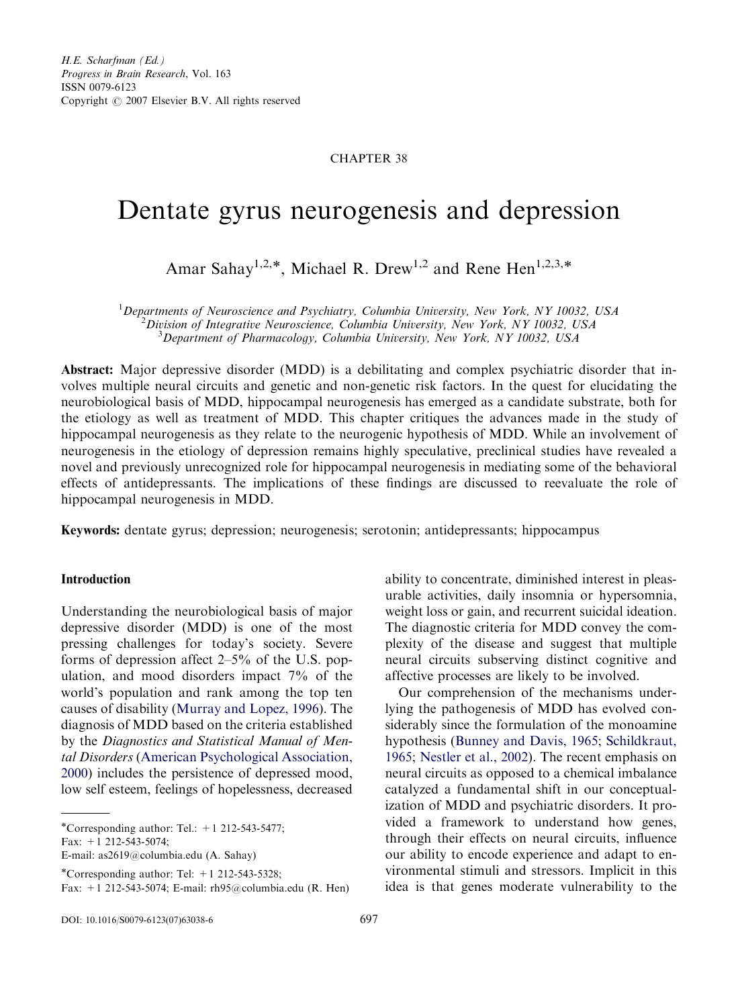#### CHAPTER 38

# Dentate gyrus neurogenesis and depression

Amar Sahay<sup>1,2,\*</sup>, Michael R. Drew<sup>1,2</sup> and Rene Hen<sup>1,2,3,\*</sup>

<sup>1</sup>Departments of Neuroscience and Psychiatry, Columbia University, New York, NY 10032, USA  $^{2}$  Division of Integrative Neuroscience, Columbia University, New York, NY 10032, USA  $^2$ Division of Integrative Neuroscience, Columbia University, New York, NY 10032, USA  ${}^{3}$ Department of Pharmacology, Columbia University, New York, NY 10032, USA

Abstract: Major depressive disorder (MDD) is a debilitating and complex psychiatric disorder that involves multiple neural circuits and genetic and non-genetic risk factors. In the quest for elucidating the neurobiological basis of MDD, hippocampal neurogenesis has emerged as a candidate substrate, both for the etiology as well as treatment of MDD. This chapter critiques the advances made in the study of hippocampal neurogenesis as they relate to the neurogenic hypothesis of MDD. While an involvement of neurogenesis in the etiology of depression remains highly speculative, preclinical studies have revealed a novel and previously unrecognized role for hippocampal neurogenesis in mediating some of the behavioral effects of antidepressants. The implications of these findings are discussed to reevaluate the role of hippocampal neurogenesis in MDD.

Keywords: dentate gyrus; depression; neurogenesis; serotonin; antidepressants; hippocampus

## Introduction

Understanding the neurobiological basis of major depressive disorder (MDD) is one of the most pressing challenges for today's society. Severe forms of depression affect 2–5% of the U.S. population, and mood disorders impact 7% of the world's population and rank among the top ten causes of disability [\(Murray and Lopez, 1996](#page-23-0)). The diagnosis of MDD based on the criteria established by the Diagnostics and Statistical Manual of Mental Disorders ([American Psychological Association,](#page-19-0) [2000\)](#page-19-0) includes the persistence of depressed mood, low self esteem, feelings of hopelessness, decreased

\*Corresponding author: Tel.:  $+1$  212-543-5477;

Fax: +1 212-543-5074;

E-mail: [as2619@columbia.edu \(A. Sahay\)](mailto:as2619@columbia.edu)

\*Corresponding author: Tel:  $+1$  212-543-5328; Fax: +1 212-543-5074; E-mail: [rh95@columbia.edu \(R. Hen\)](mailto:rh95@columbia.edu) ability to concentrate, diminished interest in pleasurable activities, daily insomnia or hypersomnia, weight loss or gain, and recurrent suicidal ideation. The diagnostic criteria for MDD convey the complexity of the disease and suggest that multiple neural circuits subserving distinct cognitive and affective processes are likely to be involved.

Our comprehension of the mechanisms underlying the pathogenesis of MDD has evolved considerably since the formulation of the monoamine hypothesis ([Bunney and Davis, 1965](#page-19-0); [Schildkraut,](#page-24-0) [1965](#page-24-0); [Nestler et al., 2002\)](#page-23-0). The recent emphasis on neural circuits as opposed to a chemical imbalance catalyzed a fundamental shift in our conceptualization of MDD and psychiatric disorders. It provided a framework to understand how genes, through their effects on neural circuits, influence our ability to encode experience and adapt to environmental stimuli and stressors. Implicit in this idea is that genes moderate vulnerability to the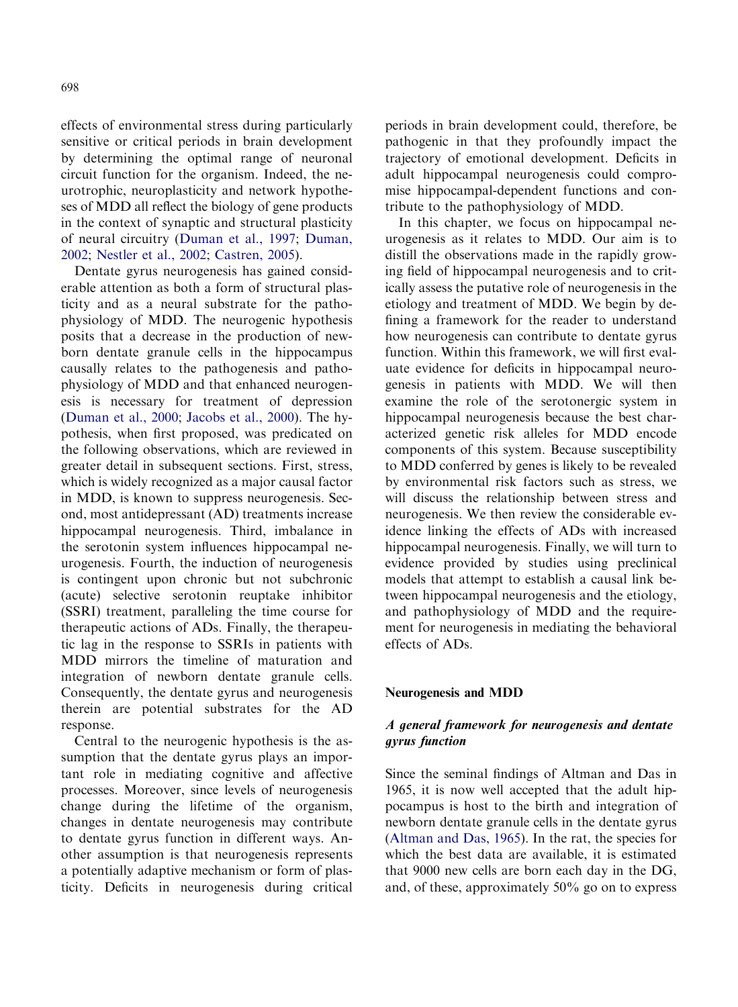effects of environmental stress during particularly sensitive or critical periods in brain development by determining the optimal range of neuronal circuit function for the organism. Indeed, the neurotrophic, neuroplasticity and network hypotheses of MDD all reflect the biology of gene products in the context of synaptic and structural plasticity of neural circuitry [\(Duman et al., 1997](#page-20-0); [Duman,](#page-20-0) [2002;](#page-20-0) [Nestler et al., 2002](#page-23-0); [Castren, 2005](#page-20-0)).

Dentate gyrus neurogenesis has gained considerable attention as both a form of structural plasticity and as a neural substrate for the pathophysiology of MDD. The neurogenic hypothesis posits that a decrease in the production of newborn dentate granule cells in the hippocampus causally relates to the pathogenesis and pathophysiology of MDD and that enhanced neurogenesis is necessary for treatment of depression [\(Duman et al., 2000;](#page-20-0) [Jacobs et al., 2000](#page-21-0)). The hypothesis, when first proposed, was predicated on the following observations, which are reviewed in greater detail in subsequent sections. First, stress, which is widely recognized as a major causal factor in MDD, is known to suppress neurogenesis. Second, most antidepressant (AD) treatments increase hippocampal neurogenesis. Third, imbalance in the serotonin system influences hippocampal neurogenesis. Fourth, the induction of neurogenesis is contingent upon chronic but not subchronic (acute) selective serotonin reuptake inhibitor (SSRI) treatment, paralleling the time course for therapeutic actions of ADs. Finally, the therapeutic lag in the response to SSRIs in patients with MDD mirrors the timeline of maturation and integration of newborn dentate granule cells. Consequently, the dentate gyrus and neurogenesis therein are potential substrates for the AD response.

Central to the neurogenic hypothesis is the assumption that the dentate gyrus plays an important role in mediating cognitive and affective processes. Moreover, since levels of neurogenesis change during the lifetime of the organism, changes in dentate neurogenesis may contribute to dentate gyrus function in different ways. Another assumption is that neurogenesis represents a potentially adaptive mechanism or form of plasticity. Deficits in neurogenesis during critical periods in brain development could, therefore, be pathogenic in that they profoundly impact the trajectory of emotional development. Deficits in adult hippocampal neurogenesis could compromise hippocampal-dependent functions and contribute to the pathophysiology of MDD.

In this chapter, we focus on hippocampal neurogenesis as it relates to MDD. Our aim is to distill the observations made in the rapidly growing field of hippocampal neurogenesis and to critically assess the putative role of neurogenesis in the etiology and treatment of MDD. We begin by defining a framework for the reader to understand how neurogenesis can contribute to dentate gyrus function. Within this framework, we will first evaluate evidence for deficits in hippocampal neurogenesis in patients with MDD. We will then examine the role of the serotonergic system in hippocampal neurogenesis because the best characterized genetic risk alleles for MDD encode components of this system. Because susceptibility to MDD conferred by genes is likely to be revealed by environmental risk factors such as stress, we will discuss the relationship between stress and neurogenesis. We then review the considerable evidence linking the effects of ADs with increased hippocampal neurogenesis. Finally, we will turn to evidence provided by studies using preclinical models that attempt to establish a causal link between hippocampal neurogenesis and the etiology, and pathophysiology of MDD and the requirement for neurogenesis in mediating the behavioral effects of ADs.

## Neurogenesis and MDD

## A general framework for neurogenesis and dentate gyrus function

Since the seminal findings of Altman and Das in 1965, it is now well accepted that the adult hippocampus is host to the birth and integration of newborn dentate granule cells in the dentate gyrus [\(Altman and Das, 1965](#page-19-0)). In the rat, the species for which the best data are available, it is estimated that 9000 new cells are born each day in the DG, and, of these, approximately 50% go on to express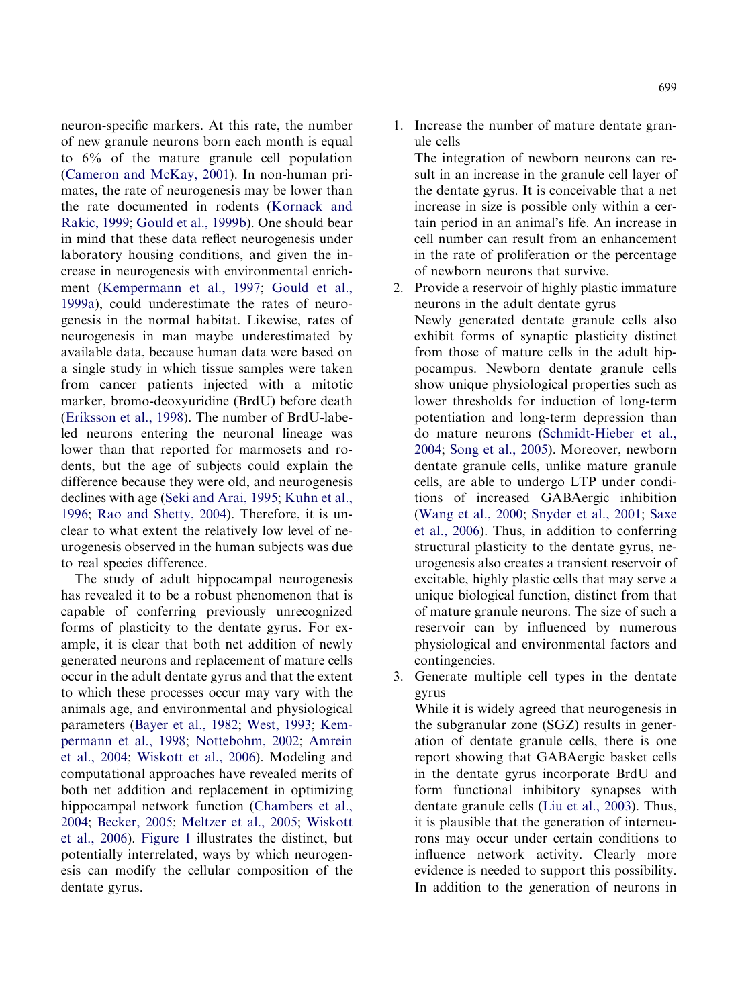neuron-specific markers. At this rate, the number of new granule neurons born each month is equal to 6% of the mature granule cell population [\(Cameron and McKay, 2001](#page-19-0)). In non-human primates, the rate of neurogenesis may be lower than the rate documented in rodents [\(Kornack and](#page-22-0) [Rakic, 1999](#page-22-0); [Gould et al., 1999b\)](#page-21-0). One should bear in mind that these data reflect neurogenesis under laboratory housing conditions, and given the increase in neurogenesis with environmental enrichment [\(Kempermann et al., 1997](#page-21-0); [Gould et al.,](#page-21-0) [1999a\)](#page-21-0), could underestimate the rates of neurogenesis in the normal habitat. Likewise, rates of neurogenesis in man maybe underestimated by available data, because human data were based on a single study in which tissue samples were taken from cancer patients injected with a mitotic marker, bromo-deoxyuridine (BrdU) before death [\(Eriksson et al., 1998](#page-20-0)). The number of BrdU-labeled neurons entering the neuronal lineage was lower than that reported for marmosets and rodents, but the age of subjects could explain the difference because they were old, and neurogenesis declines with age ([Seki and Arai, 1995;](#page-24-0) [Kuhn et al.,](#page-22-0) [1996;](#page-22-0) [Rao and Shetty, 2004](#page-23-0)). Therefore, it is unclear to what extent the relatively low level of neurogenesis observed in the human subjects was due to real species difference.

The study of adult hippocampal neurogenesis has revealed it to be a robust phenomenon that is capable of conferring previously unrecognized forms of plasticity to the dentate gyrus. For example, it is clear that both net addition of newly generated neurons and replacement of mature cells occur in the adult dentate gyrus and that the extent to which these processes occur may vary with the animals age, and environmental and physiological parameters [\(Bayer et al., 1982;](#page-19-0) [West, 1993;](#page-25-0) [Kem](#page-21-0)[permann et al., 1998;](#page-21-0) [Nottebohm, 2002;](#page-23-0) [Amrein](#page-19-0) [et al., 2004](#page-19-0); [Wiskott et al., 2006\)](#page-25-0). Modeling and computational approaches have revealed merits of both net addition and replacement in optimizing hippocampal network function [\(Chambers et al.,](#page-20-0) [2004;](#page-20-0) [Becker, 2005](#page-19-0); [Meltzer et al., 2005](#page-23-0); [Wiskott](#page-25-0) [et al., 2006\)](#page-25-0). [Figure 1](#page-3-0) illustrates the distinct, but potentially interrelated, ways by which neurogenesis can modify the cellular composition of the dentate gyrus.

1. Increase the number of mature dentate granule cells

The integration of newborn neurons can result in an increase in the granule cell layer of the dentate gyrus. It is conceivable that a net increase in size is possible only within a certain period in an animal's life. An increase in cell number can result from an enhancement in the rate of proliferation or the percentage of newborn neurons that survive.

- 2. Provide a reservoir of highly plastic immature neurons in the adult dentate gyrus Newly generated dentate granule cells also exhibit forms of synaptic plasticity distinct from those of mature cells in the adult hippocampus. Newborn dentate granule cells show unique physiological properties such as lower thresholds for induction of long-term potentiation and long-term depression than do mature neurons [\(Schmidt-Hieber et al.,](#page-24-0) [2004;](#page-24-0) [Song et al., 2005](#page-24-0)). Moreover, newborn dentate granule cells, unlike mature granule cells, are able to undergo LTP under conditions of increased GABAergic inhibition [\(Wang et al., 2000;](#page-25-0) [Snyder et al., 2001](#page-24-0); [Saxe](#page-24-0) [et al., 2006\)](#page-24-0). Thus, in addition to conferring structural plasticity to the dentate gyrus, neurogenesis also creates a transient reservoir of excitable, highly plastic cells that may serve a unique biological function, distinct from that of mature granule neurons. The size of such a reservoir can by influenced by numerous physiological and environmental factors and contingencies.
- 3. Generate multiple cell types in the dentate gyrus

While it is widely agreed that neurogenesis in the subgranular zone (SGZ) results in generation of dentate granule cells, there is one report showing that GABAergic basket cells in the dentate gyrus incorporate BrdU and form functional inhibitory synapses with dentate granule cells [\(Liu et al., 2003\)](#page-22-0). Thus, it is plausible that the generation of interneurons may occur under certain conditions to influence network activity. Clearly more evidence is needed to support this possibility. In addition to the generation of neurons in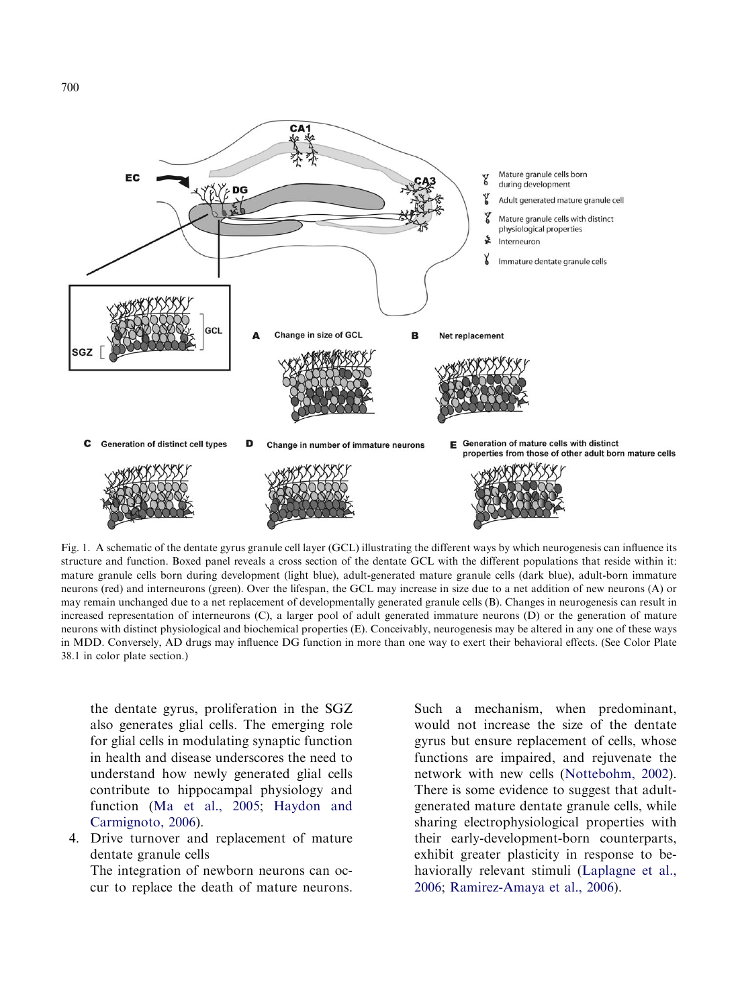<span id="page-3-0"></span>

Fig. 1. A schematic of the dentate gyrus granule cell layer (GCL) illustrating the different ways by which neurogenesis can influence its structure and function. Boxed panel reveals a cross section of the dentate GCL with the different populations that reside within it: mature granule cells born during development (light blue), adult-generated mature granule cells (dark blue), adult-born immature neurons (red) and interneurons (green). Over the lifespan, the GCL may increase in size due to a net addition of new neurons (A) or may remain unchanged due to a net replacement of developmentally generated granule cells (B). Changes in neurogenesis can result in increased representation of interneurons (C), a larger pool of adult generated immature neurons (D) or the generation of mature neurons with distinct physiological and biochemical properties (E). Conceivably, neurogenesis may be altered in any one of these ways in MDD. Conversely, AD drugs may influence DG function in more than one way to exert their behavioral effects. (See Color Plate 38.1 in color plate section.)

the dentate gyrus, proliferation in the SGZ also generates glial cells. The emerging role for glial cells in modulating synaptic function in health and disease underscores the need to understand how newly generated glial cells contribute to hippocampal physiology and function [\(Ma et al., 2005;](#page-22-0) [Haydon and](#page-21-0) [Carmignoto, 2006](#page-21-0)).

4. Drive turnover and replacement of mature dentate granule cells The integration of newborn neurons can occur to replace the death of mature neurons. Such a mechanism, when predominant, would not increase the size of the dentate gyrus but ensure replacement of cells, whose functions are impaired, and rejuvenate the network with new cells [\(Nottebohm, 2002](#page-23-0)). There is some evidence to suggest that adultgenerated mature dentate granule cells, while sharing electrophysiological properties with their early-development-born counterparts, exhibit greater plasticity in response to behaviorally relevant stimuli [\(Laplagne et al.,](#page-22-0) [2006;](#page-22-0) [Ramirez-Amaya et al., 2006\)](#page-23-0).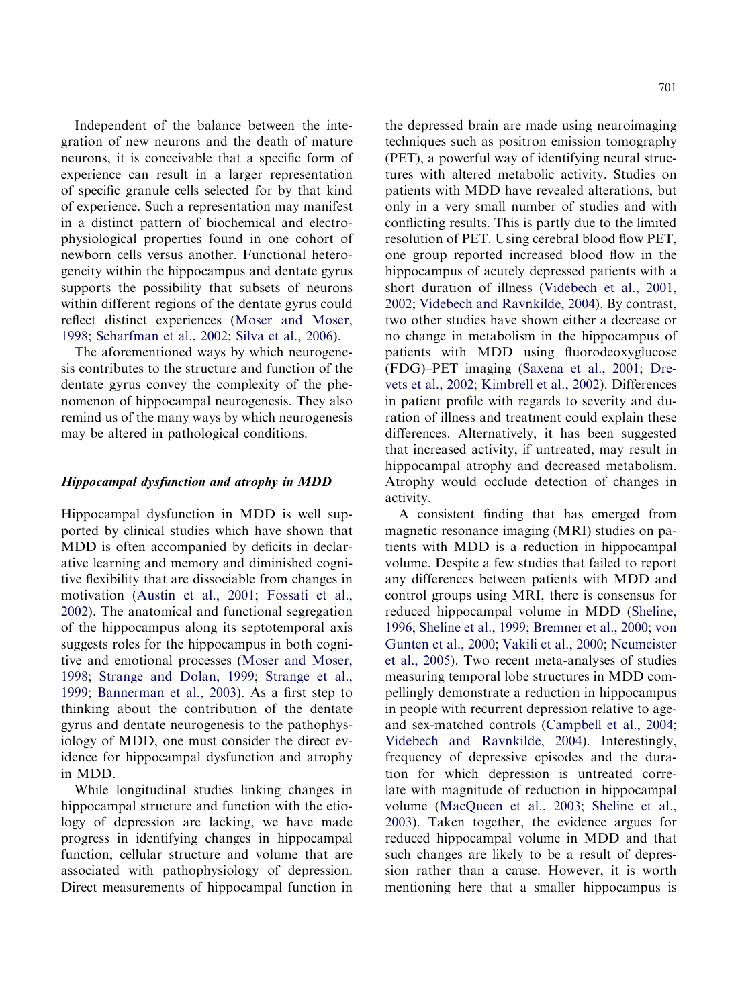Independent of the balance between the integration of new neurons and the death of mature neurons, it is conceivable that a specific form of experience can result in a larger representation of specific granule cells selected for by that kind of experience. Such a representation may manifest in a distinct pattern of biochemical and electrophysiological properties found in one cohort of newborn cells versus another. Functional heterogeneity within the hippocampus and dentate gyrus supports the possibility that subsets of neurons within different regions of the dentate gyrus could reflect distinct experiences [\(Moser and Moser,](#page-23-0) [1998;](#page-23-0) [Scharfman et al., 2002;](#page-24-0) [Silva et al., 2006\)](#page-24-0).

The aforementioned ways by which neurogenesis contributes to the structure and function of the dentate gyrus convey the complexity of the phenomenon of hippocampal neurogenesis. They also remind us of the many ways by which neurogenesis may be altered in pathological conditions.

## Hippocampal dysfunction and atrophy in MDD

Hippocampal dysfunction in MDD is well supported by clinical studies which have shown that MDD is often accompanied by deficits in declarative learning and memory and diminished cognitive flexibility that are dissociable from changes in motivation [\(Austin et al., 2001](#page-19-0); [Fossati et al.,](#page-20-0) [2002\)](#page-20-0). The anatomical and functional segregation of the hippocampus along its septotemporal axis suggests roles for the hippocampus in both cognitive and emotional processes [\(Moser and Moser,](#page-23-0) [1998;](#page-23-0) [Strange and Dolan, 1999;](#page-24-0) [Strange et al.,](#page-24-0) [1999;](#page-24-0) [Bannerman et al., 2003\)](#page-19-0). As a first step to thinking about the contribution of the dentate gyrus and dentate neurogenesis to the pathophysiology of MDD, one must consider the direct evidence for hippocampal dysfunction and atrophy in MDD.

While longitudinal studies linking changes in hippocampal structure and function with the etiology of depression are lacking, we have made progress in identifying changes in hippocampal function, cellular structure and volume that are associated with pathophysiology of depression. Direct measurements of hippocampal function in the depressed brain are made using neuroimaging techniques such as positron emission tomography (PET), a powerful way of identifying neural structures with altered metabolic activity. Studies on patients with MDD have revealed alterations, but only in a very small number of studies and with conflicting results. This is partly due to the limited resolution of PET. Using cerebral blood flow PET, one group reported increased blood flow in the hippocampus of acutely depressed patients with a short duration of illness [\(Videbech et al., 2001,](#page-24-0) [2002](#page-24-0); [Videbech and Ravnkilde, 2004](#page-24-0)). By contrast, two other studies have shown either a decrease or no change in metabolism in the hippocampus of patients with MDD using fluorodeoxyglucose (FDG)–PET imaging ([Saxena et al., 2001;](#page-24-0) [Dre](#page-20-0)[vets et al., 2002;](#page-20-0) [Kimbrell et al., 2002](#page-22-0)). Differences in patient profile with regards to severity and duration of illness and treatment could explain these differences. Alternatively, it has been suggested that increased activity, if untreated, may result in hippocampal atrophy and decreased metabolism. Atrophy would occlude detection of changes in activity.

A consistent finding that has emerged from magnetic resonance imaging (MRI) studies on patients with MDD is a reduction in hippocampal volume. Despite a few studies that failed to report any differences between patients with MDD and control groups using MRI, there is consensus for reduced hippocampal volume in MDD ([Sheline,](#page-24-0) [1996](#page-24-0); [Sheline et al., 1999](#page-24-0); [Bremner et al., 2000](#page-19-0); [von](#page-21-0) [Gunten et al., 2000](#page-21-0); [Vakili et al., 2000](#page-24-0); [Neumeister](#page-23-0) [et al., 2005](#page-23-0)). Two recent meta-analyses of studies measuring temporal lobe structures in MDD compellingly demonstrate a reduction in hippocampus in people with recurrent depression relative to ageand sex-matched controls ([Campbell et al., 2004;](#page-19-0) [Videbech and Ravnkilde, 2004](#page-24-0)). Interestingly, frequency of depressive episodes and the duration for which depression is untreated correlate with magnitude of reduction in hippocampal volume [\(MacQueen et al., 2003](#page-22-0); [Sheline et al.,](#page-24-0) [2003](#page-24-0)). Taken together, the evidence argues for reduced hippocampal volume in MDD and that such changes are likely to be a result of depression rather than a cause. However, it is worth mentioning here that a smaller hippocampus is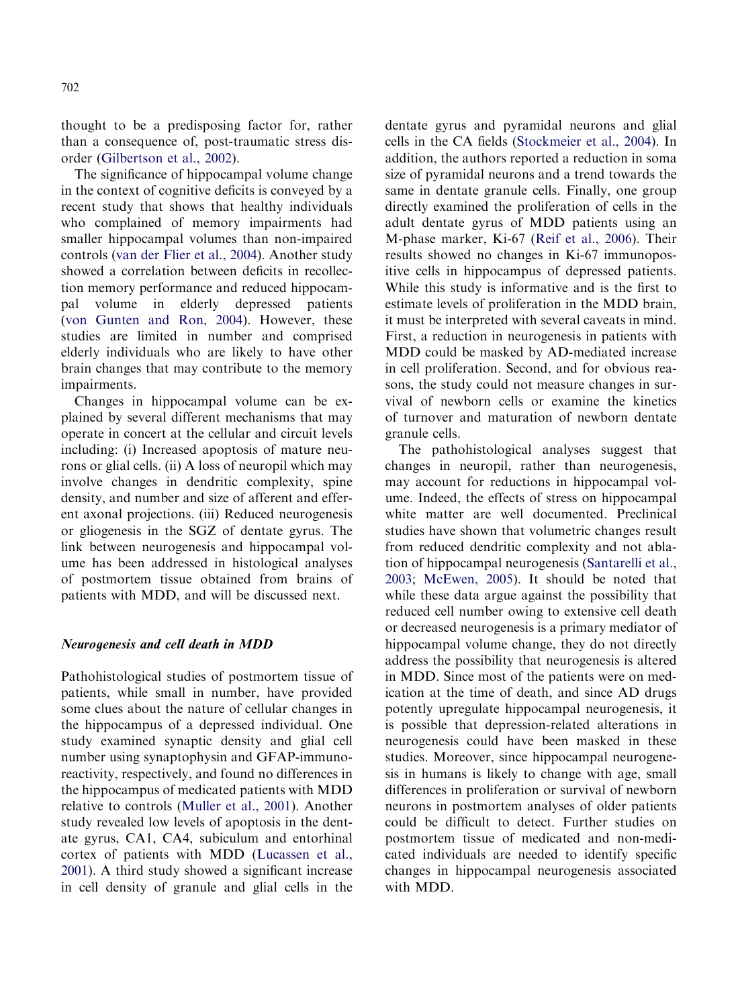thought to be a predisposing factor for, rather than a consequence of, post-traumatic stress disorder ([Gilbertson et al., 2002\)](#page-21-0).

The significance of hippocampal volume change in the context of cognitive deficits is conveyed by a recent study that shows that healthy individuals who complained of memory impairments had smaller hippocampal volumes than non-impaired controls ([van der Flier et al., 2004\)](#page-20-0). Another study showed a correlation between deficits in recollection memory performance and reduced hippocampal volume in elderly depressed patients [\(von Gunten and Ron, 2004](#page-21-0)). However, these studies are limited in number and comprised elderly individuals who are likely to have other brain changes that may contribute to the memory impairments.

Changes in hippocampal volume can be explained by several different mechanisms that may operate in concert at the cellular and circuit levels including: (i) Increased apoptosis of mature neurons or glial cells. (ii) A loss of neuropil which may involve changes in dendritic complexity, spine density, and number and size of afferent and efferent axonal projections. (iii) Reduced neurogenesis or gliogenesis in the SGZ of dentate gyrus. The link between neurogenesis and hippocampal volume has been addressed in histological analyses of postmortem tissue obtained from brains of patients with MDD, and will be discussed next.

#### Neurogenesis and cell death in MDD

Pathohistological studies of postmortem tissue of patients, while small in number, have provided some clues about the nature of cellular changes in the hippocampus of a depressed individual. One study examined synaptic density and glial cell number using synaptophysin and GFAP-immunoreactivity, respectively, and found no differences in the hippocampus of medicated patients with MDD relative to controls ([Muller et al., 2001\)](#page-23-0). Another study revealed low levels of apoptosis in the dentate gyrus, CA1, CA4, subiculum and entorhinal cortex of patients with MDD [\(Lucassen et al.,](#page-22-0) [2001\)](#page-22-0). A third study showed a significant increase in cell density of granule and glial cells in the dentate gyrus and pyramidal neurons and glial cells in the CA fields [\(Stockmeier et al., 2004](#page-24-0)). In addition, the authors reported a reduction in soma size of pyramidal neurons and a trend towards the same in dentate granule cells. Finally, one group directly examined the proliferation of cells in the adult dentate gyrus of MDD patients using an M-phase marker, Ki-67 ([Reif et al., 2006](#page-23-0)). Their results showed no changes in Ki-67 immunopositive cells in hippocampus of depressed patients. While this study is informative and is the first to estimate levels of proliferation in the MDD brain, it must be interpreted with several caveats in mind. First, a reduction in neurogenesis in patients with MDD could be masked by AD-mediated increase in cell proliferation. Second, and for obvious reasons, the study could not measure changes in survival of newborn cells or examine the kinetics of turnover and maturation of newborn dentate granule cells.

The pathohistological analyses suggest that changes in neuropil, rather than neurogenesis, may account for reductions in hippocampal volume. Indeed, the effects of stress on hippocampal white matter are well documented. Preclinical studies have shown that volumetric changes result from reduced dendritic complexity and not ablation of hippocampal neurogenesis ([Santarelli et al.,](#page-23-0) [2003](#page-23-0); [McEwen, 2005](#page-22-0)). It should be noted that while these data argue against the possibility that reduced cell number owing to extensive cell death or decreased neurogenesis is a primary mediator of hippocampal volume change, they do not directly address the possibility that neurogenesis is altered in MDD. Since most of the patients were on medication at the time of death, and since AD drugs potently upregulate hippocampal neurogenesis, it is possible that depression-related alterations in neurogenesis could have been masked in these studies. Moreover, since hippocampal neurogenesis in humans is likely to change with age, small differences in proliferation or survival of newborn neurons in postmortem analyses of older patients could be difficult to detect. Further studies on postmortem tissue of medicated and non-medicated individuals are needed to identify specific changes in hippocampal neurogenesis associated with MDD.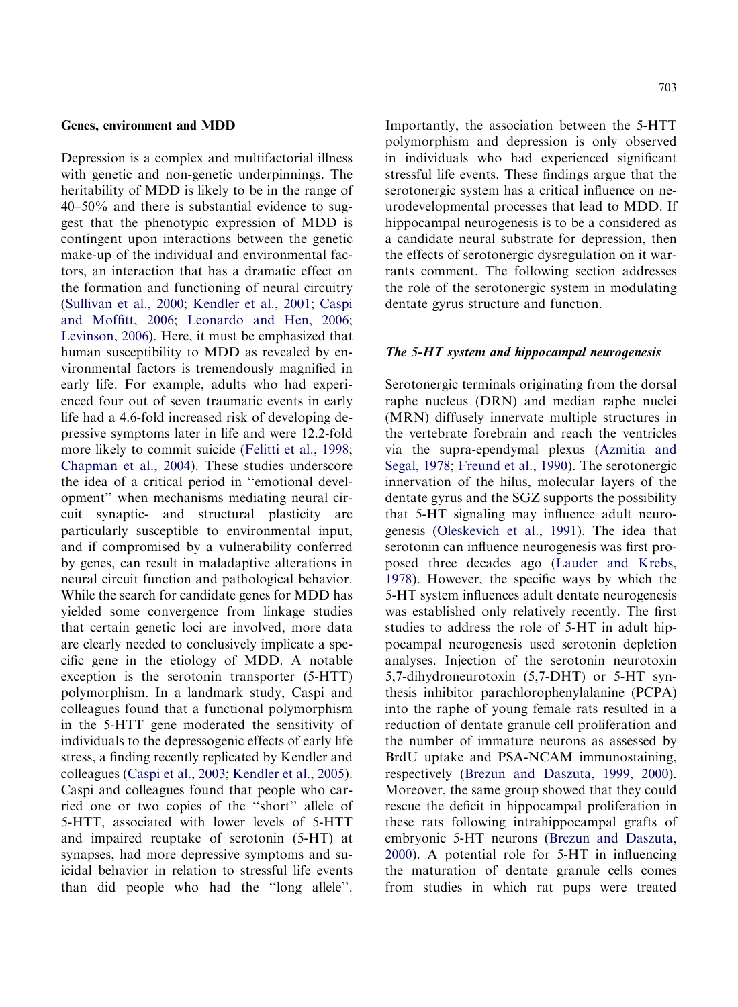#### Genes, environment and MDD

Depression is a complex and multifactorial illness with genetic and non-genetic underpinnings. The heritability of MDD is likely to be in the range of 40–50% and there is substantial evidence to suggest that the phenotypic expression of MDD is contingent upon interactions between the genetic make-up of the individual and environmental factors, an interaction that has a dramatic effect on the formation and functioning of neural circuitry [\(Sullivan et al., 2000;](#page-24-0) [Kendler et al., 2001](#page-22-0); [Caspi](#page-19-0) [and Moffitt, 2006](#page-19-0); [Leonardo and Hen, 2006](#page-22-0); [Levinson, 2006\)](#page-22-0). Here, it must be emphasized that human susceptibility to MDD as revealed by environmental factors is tremendously magnified in early life. For example, adults who had experienced four out of seven traumatic events in early life had a 4.6-fold increased risk of developing depressive symptoms later in life and were 12.2-fold more likely to commit suicide ([Felitti et al., 1998](#page-20-0); [Chapman et al., 2004\)](#page-20-0). These studies underscore the idea of a critical period in ''emotional development'' when mechanisms mediating neural circuit synaptic- and structural plasticity are particularly susceptible to environmental input, and if compromised by a vulnerability conferred by genes, can result in maladaptive alterations in neural circuit function and pathological behavior. While the search for candidate genes for MDD has yielded some convergence from linkage studies that certain genetic loci are involved, more data are clearly needed to conclusively implicate a specific gene in the etiology of MDD. A notable exception is the serotonin transporter (5-HTT) polymorphism. In a landmark study, Caspi and colleagues found that a functional polymorphism in the 5-HTT gene moderated the sensitivity of individuals to the depressogenic effects of early life stress, a finding recently replicated by Kendler and colleagues [\(Caspi et al., 2003](#page-19-0); [Kendler et al., 2005](#page-21-0)). Caspi and colleagues found that people who carried one or two copies of the ''short'' allele of 5-HTT, associated with lower levels of 5-HTT and impaired reuptake of serotonin (5-HT) at synapses, had more depressive symptoms and suicidal behavior in relation to stressful life events than did people who had the ''long allele''. Importantly, the association between the 5-HTT polymorphism and depression is only observed in individuals who had experienced significant stressful life events. These findings argue that the serotonergic system has a critical influence on neurodevelopmental processes that lead to MDD. If hippocampal neurogenesis is to be a considered as a candidate neural substrate for depression, then the effects of serotonergic dysregulation on it warrants comment. The following section addresses the role of the serotonergic system in modulating dentate gyrus structure and function.

#### The 5-HT system and hippocampal neurogenesis

Serotonergic terminals originating from the dorsal raphe nucleus (DRN) and median raphe nuclei (MRN) diffusely innervate multiple structures in the vertebrate forebrain and reach the ventricles via the supra-ependymal plexus [\(Azmitia and](#page-19-0) [Segal, 1978](#page-19-0); [Freund et al., 1990\)](#page-21-0). The serotonergic innervation of the hilus, molecular layers of the dentate gyrus and the SGZ supports the possibility that 5-HT signaling may influence adult neurogenesis [\(Oleskevich et al., 1991\)](#page-23-0). The idea that serotonin can influence neurogenesis was first proposed three decades ago ([Lauder and Krebs,](#page-22-0) [1978](#page-22-0)). However, the specific ways by which the 5-HT system influences adult dentate neurogenesis was established only relatively recently. The first studies to address the role of 5-HT in adult hippocampal neurogenesis used serotonin depletion analyses. Injection of the serotonin neurotoxin 5,7-dihydroneurotoxin (5,7-DHT) or 5-HT synthesis inhibitor parachlorophenylalanine (PCPA) into the raphe of young female rats resulted in a reduction of dentate granule cell proliferation and the number of immature neurons as assessed by BrdU uptake and PSA-NCAM immunostaining, respectively ([Brezun and Daszuta, 1999, 2000](#page-19-0)). Moreover, the same group showed that they could rescue the deficit in hippocampal proliferation in these rats following intrahippocampal grafts of embryonic 5-HT neurons ([Brezun and Daszuta,](#page-19-0) [2000](#page-19-0)). A potential role for 5-HT in influencing the maturation of dentate granule cells comes from studies in which rat pups were treated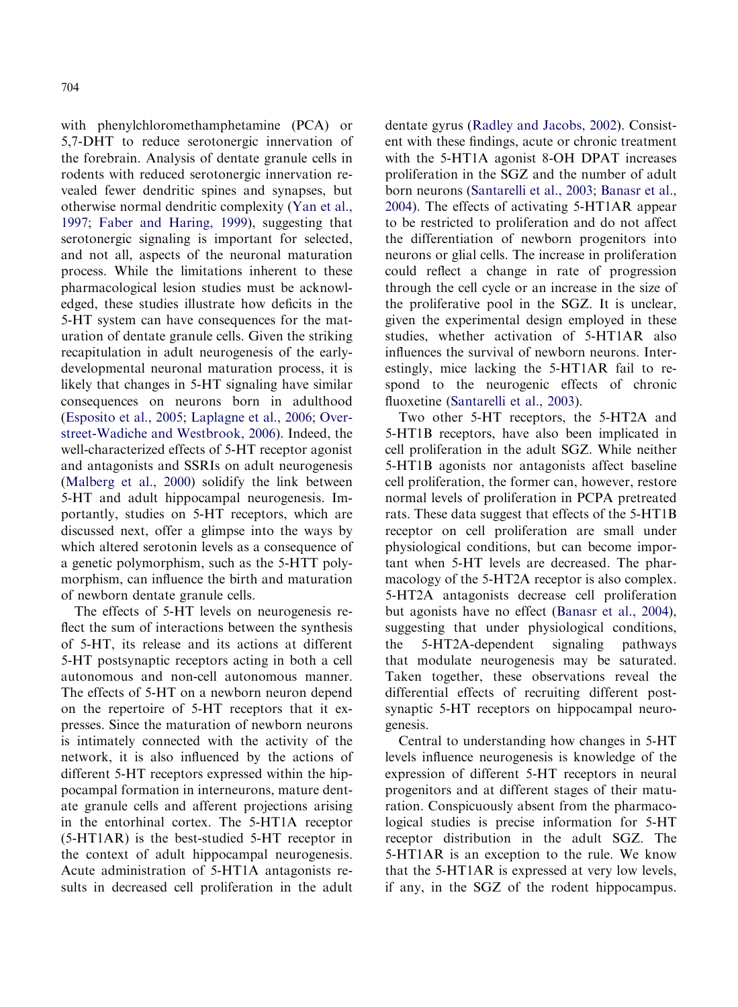with phenylchloromethamphetamine (PCA) or 5,7-DHT to reduce serotonergic innervation of the forebrain. Analysis of dentate granule cells in rodents with reduced serotonergic innervation revealed fewer dendritic spines and synapses, but otherwise normal dendritic complexity ([Yan et al.,](#page-25-0) [1997;](#page-25-0) [Faber and Haring, 1999\)](#page-20-0), suggesting that serotonergic signaling is important for selected, and not all, aspects of the neuronal maturation process. While the limitations inherent to these pharmacological lesion studies must be acknowledged, these studies illustrate how deficits in the 5-HT system can have consequences for the maturation of dentate granule cells. Given the striking recapitulation in adult neurogenesis of the earlydevelopmental neuronal maturation process, it is likely that changes in 5-HT signaling have similar consequences on neurons born in adulthood [\(Esposito et al., 2005;](#page-20-0) [Laplagne et al., 2006](#page-22-0); [Over](#page-23-0)[street-Wadiche and Westbrook, 2006](#page-23-0)). Indeed, the well-characterized effects of 5-HT receptor agonist and antagonists and SSRIs on adult neurogenesis [\(Malberg et al., 2000\)](#page-22-0) solidify the link between 5-HT and adult hippocampal neurogenesis. Importantly, studies on 5-HT receptors, which are discussed next, offer a glimpse into the ways by which altered serotonin levels as a consequence of a genetic polymorphism, such as the 5-HTT polymorphism, can influence the birth and maturation of newborn dentate granule cells.

The effects of 5-HT levels on neurogenesis reflect the sum of interactions between the synthesis of 5-HT, its release and its actions at different 5-HT postsynaptic receptors acting in both a cell autonomous and non-cell autonomous manner. The effects of 5-HT on a newborn neuron depend on the repertoire of 5-HT receptors that it expresses. Since the maturation of newborn neurons is intimately connected with the activity of the network, it is also influenced by the actions of different 5-HT receptors expressed within the hippocampal formation in interneurons, mature dentate granule cells and afferent projections arising in the entorhinal cortex. The 5-HT1A receptor (5-HT1AR) is the best-studied 5-HT receptor in the context of adult hippocampal neurogenesis. Acute administration of 5-HT1A antagonists results in decreased cell proliferation in the adult dentate gyrus [\(Radley and Jacobs, 2002\)](#page-23-0). Consistent with these findings, acute or chronic treatment with the 5-HT1A agonist 8-OH DPAT increases proliferation in the SGZ and the number of adult born neurons ([Santarelli et al., 2003](#page-23-0); [Banasr et al.,](#page-19-0) [2004](#page-19-0)). The effects of activating 5-HT1AR appear to be restricted to proliferation and do not affect the differentiation of newborn progenitors into neurons or glial cells. The increase in proliferation could reflect a change in rate of progression through the cell cycle or an increase in the size of the proliferative pool in the SGZ. It is unclear, given the experimental design employed in these studies, whether activation of 5-HT1AR also influences the survival of newborn neurons. Interestingly, mice lacking the 5-HT1AR fail to respond to the neurogenic effects of chronic fluoxetine ([Santarelli et al., 2003\)](#page-23-0).

Two other 5-HT receptors, the 5-HT2A and 5-HT1B receptors, have also been implicated in cell proliferation in the adult SGZ. While neither 5-HT1B agonists nor antagonists affect baseline cell proliferation, the former can, however, restore normal levels of proliferation in PCPA pretreated rats. These data suggest that effects of the 5-HT1B receptor on cell proliferation are small under physiological conditions, but can become important when 5-HT levels are decreased. The pharmacology of the 5-HT2A receptor is also complex. 5-HT2A antagonists decrease cell proliferation but agonists have no effect ([Banasr et al., 2004](#page-19-0)), suggesting that under physiological conditions, the 5-HT2A-dependent signaling pathways that modulate neurogenesis may be saturated. Taken together, these observations reveal the differential effects of recruiting different postsynaptic 5-HT receptors on hippocampal neurogenesis.

Central to understanding how changes in 5-HT levels influence neurogenesis is knowledge of the expression of different 5-HT receptors in neural progenitors and at different stages of their maturation. Conspicuously absent from the pharmacological studies is precise information for 5-HT receptor distribution in the adult SGZ. The 5-HT1AR is an exception to the rule. We know that the 5-HT1AR is expressed at very low levels, if any, in the SGZ of the rodent hippocampus.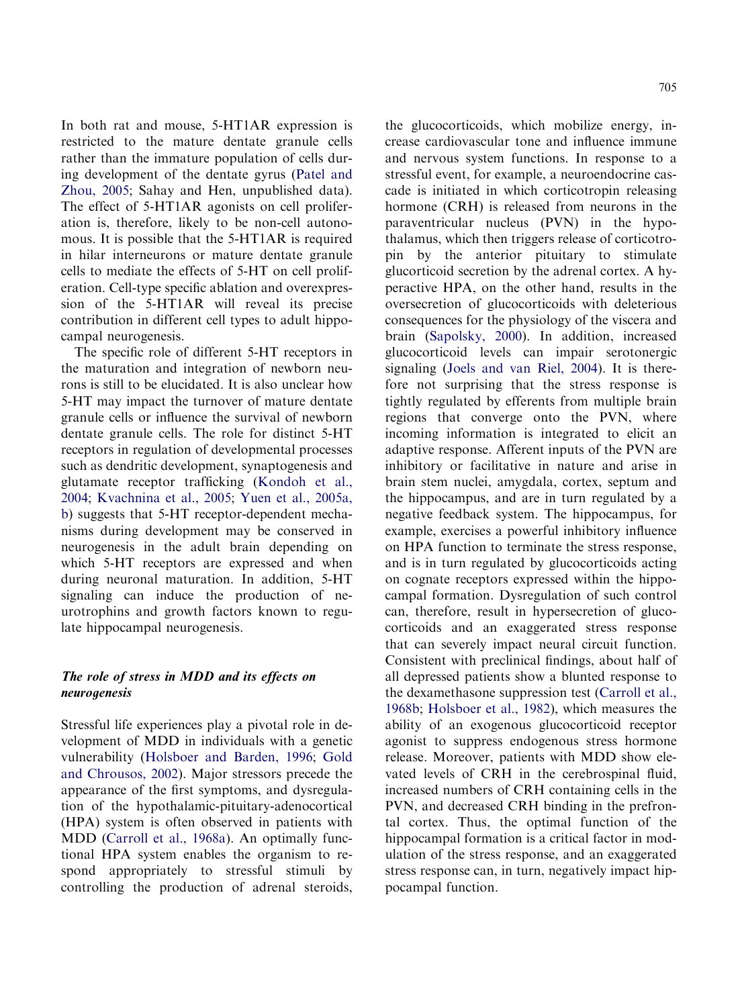In both rat and mouse, 5-HT1AR expression is restricted to the mature dentate granule cells rather than the immature population of cells during development of the dentate gyrus [\(Patel and](#page-23-0) [Zhou, 2005](#page-23-0); Sahay and Hen, unpublished data). The effect of 5-HT1AR agonists on cell proliferation is, therefore, likely to be non-cell autonomous. It is possible that the 5-HT1AR is required in hilar interneurons or mature dentate granule cells to mediate the effects of 5-HT on cell proliferation. Cell-type specific ablation and overexpression of the 5-HT1AR will reveal its precise contribution in different cell types to adult hippocampal neurogenesis.

The specific role of different 5-HT receptors in the maturation and integration of newborn neurons is still to be elucidated. It is also unclear how 5-HT may impact the turnover of mature dentate granule cells or influence the survival of newborn dentate granule cells. The role for distinct 5-HT receptors in regulation of developmental processes such as dendritic development, synaptogenesis and glutamate receptor trafficking [\(Kondoh et al.,](#page-22-0) [2004;](#page-22-0) [Kvachnina et al., 2005;](#page-22-0) [Yuen et al., 2005a,](#page-25-0) [b\)](#page-25-0) suggests that 5-HT receptor-dependent mechanisms during development may be conserved in neurogenesis in the adult brain depending on which 5-HT receptors are expressed and when during neuronal maturation. In addition, 5-HT signaling can induce the production of neurotrophins and growth factors known to regulate hippocampal neurogenesis.

# The role of stress in MDD and its effects on neurogenesis

Stressful life experiences play a pivotal role in development of MDD in individuals with a genetic vulnerability [\(Holsboer and Barden, 1996;](#page-21-0) [Gold](#page-21-0) [and Chrousos, 2002](#page-21-0)). Major stressors precede the appearance of the first symptoms, and dysregulation of the hypothalamic-pituitary-adenocortical (HPA) system is often observed in patients with MDD [\(Carroll et al., 1968a\)](#page-19-0). An optimally functional HPA system enables the organism to respond appropriately to stressful stimuli by controlling the production of adrenal steroids, 705

the glucocorticoids, which mobilize energy, increase cardiovascular tone and influence immune and nervous system functions. In response to a stressful event, for example, a neuroendocrine cascade is initiated in which corticotropin releasing hormone (CRH) is released from neurons in the paraventricular nucleus (PVN) in the hypothalamus, which then triggers release of corticotropin by the anterior pituitary to stimulate glucorticoid secretion by the adrenal cortex. A hyperactive HPA, on the other hand, results in the oversecretion of glucocorticoids with deleterious consequences for the physiology of the viscera and brain ([Sapolsky, 2000](#page-23-0)). In addition, increased glucocorticoid levels can impair serotonergic signaling ([Joels and van Riel, 2004\)](#page-21-0). It is therefore not surprising that the stress response is tightly regulated by efferents from multiple brain regions that converge onto the PVN, where incoming information is integrated to elicit an adaptive response. Afferent inputs of the PVN are inhibitory or facilitative in nature and arise in brain stem nuclei, amygdala, cortex, septum and the hippocampus, and are in turn regulated by a negative feedback system. The hippocampus, for example, exercises a powerful inhibitory influence on HPA function to terminate the stress response, and is in turn regulated by glucocorticoids acting on cognate receptors expressed within the hippocampal formation. Dysregulation of such control can, therefore, result in hypersecretion of glucocorticoids and an exaggerated stress response that can severely impact neural circuit function. Consistent with preclinical findings, about half of all depressed patients show a blunted response to the dexamethasone suppression test [\(Carroll et al.,](#page-19-0) [1968b;](#page-19-0) [Holsboer et al., 1982\)](#page-21-0), which measures the ability of an exogenous glucocorticoid receptor agonist to suppress endogenous stress hormone release. Moreover, patients with MDD show elevated levels of CRH in the cerebrospinal fluid, increased numbers of CRH containing cells in the PVN, and decreased CRH binding in the prefrontal cortex. Thus, the optimal function of the hippocampal formation is a critical factor in modulation of the stress response, and an exaggerated stress response can, in turn, negatively impact hippocampal function.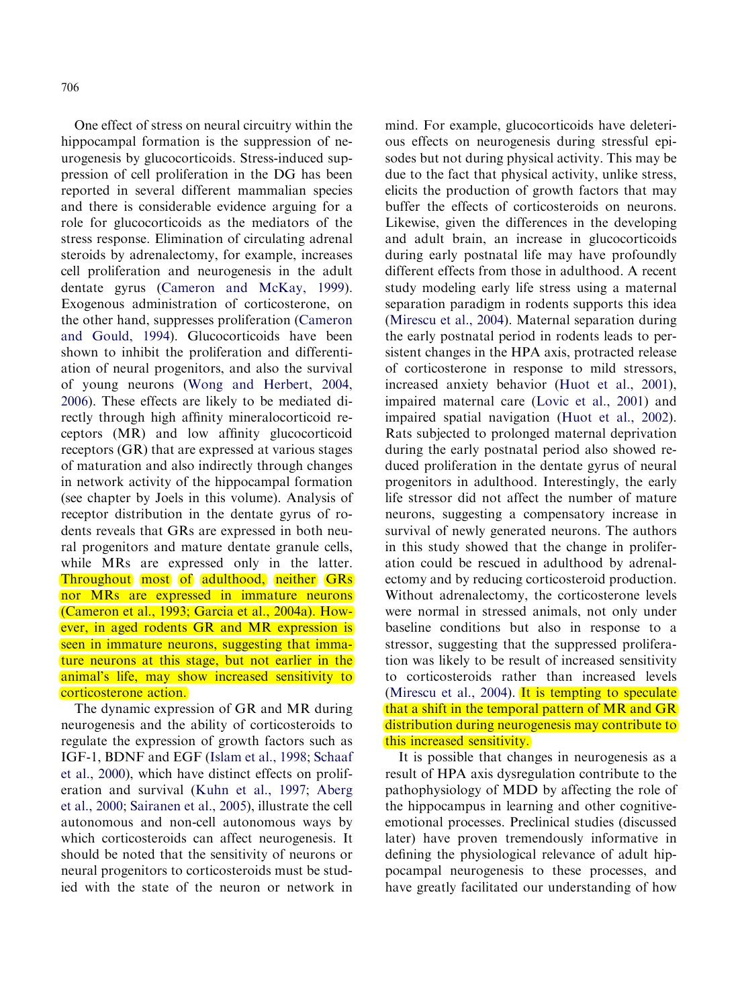One effect of stress on neural circuitry within the hippocampal formation is the suppression of neurogenesis by glucocorticoids. Stress-induced suppression of cell proliferation in the DG has been reported in several different mammalian species and there is considerable evidence arguing for a role for glucocorticoids as the mediators of the stress response. Elimination of circulating adrenal steroids by adrenalectomy, for example, increases cell proliferation and neurogenesis in the adult dentate gyrus [\(Cameron and McKay, 1999](#page-19-0)). Exogenous administration of corticosterone, on the other hand, suppresses proliferation ([Cameron](#page-19-0) [and Gould, 1994](#page-19-0)). Glucocorticoids have been shown to inhibit the proliferation and differentiation of neural progenitors, and also the survival of young neurons ([Wong and Herbert, 2004,](#page-25-0) [2006\)](#page-25-0). These effects are likely to be mediated directly through high affinity mineralocorticoid receptors (MR) and low affinity glucocorticoid receptors (GR) that are expressed at various stages of maturation and also indirectly through changes in network activity of the hippocampal formation (see chapter by Joels in this volume). Analysis of receptor distribution in the dentate gyrus of rodents reveals that GRs are expressed in both neural progenitors and mature dentate granule cells, while MRs are expressed only in the latter. Throughout most of adulthood, neither GRs nor MRs are expressed in immature neurons [\(Cameron et al., 1993;](#page-19-0) [Garcia et al., 2004a\)](#page-21-0). However, in aged rodents GR and MR expression is seen in immature neurons, suggesting that immature neurons at this stage, but not earlier in the animal's life, may show increased sensitivity to corticosterone action.

The dynamic expression of GR and MR during neurogenesis and the ability of corticosteroids to regulate the expression of growth factors such as IGF-1, BDNF and EGF ([Islam et al., 1998](#page-21-0); [Schaaf](#page-24-0) [et al., 2000\)](#page-24-0), which have distinct effects on proliferation and survival [\(Kuhn et al., 1997;](#page-22-0) [Aberg](#page-19-0) [et al., 2000;](#page-19-0) [Sairanen et al., 2005\)](#page-23-0), illustrate the cell autonomous and non-cell autonomous ways by which corticosteroids can affect neurogenesis. It should be noted that the sensitivity of neurons or neural progenitors to corticosteroids must be studied with the state of the neuron or network in mind. For example, glucocorticoids have deleterious effects on neurogenesis during stressful episodes but not during physical activity. This may be due to the fact that physical activity, unlike stress, elicits the production of growth factors that may buffer the effects of corticosteroids on neurons. Likewise, given the differences in the developing and adult brain, an increase in glucocorticoids during early postnatal life may have profoundly different effects from those in adulthood. A recent study modeling early life stress using a maternal separation paradigm in rodents supports this idea [\(Mirescu et al., 2004\)](#page-23-0). Maternal separation during the early postnatal period in rodents leads to persistent changes in the HPA axis, protracted release of corticosterone in response to mild stressors, increased anxiety behavior ([Huot et al., 2001](#page-21-0)), impaired maternal care [\(Lovic et al., 2001](#page-22-0)) and impaired spatial navigation [\(Huot et al., 2002](#page-21-0)). Rats subjected to prolonged maternal deprivation during the early postnatal period also showed reduced proliferation in the dentate gyrus of neural progenitors in adulthood. Interestingly, the early life stressor did not affect the number of mature neurons, suggesting a compensatory increase in survival of newly generated neurons. The authors in this study showed that the change in proliferation could be rescued in adulthood by adrenalectomy and by reducing corticosteroid production. Without adrenalectomy, the corticosterone levels were normal in stressed animals, not only under baseline conditions but also in response to a stressor, suggesting that the suppressed proliferation was likely to be result of increased sensitivity to corticosteroids rather than increased levels [\(Mirescu et al., 2004](#page-23-0)). It is tempting to speculate that a shift in the temporal pattern of MR and GR distribution during neurogenesis may contribute to this increased sensitivity.

It is possible that changes in neurogenesis as a result of HPA axis dysregulation contribute to the pathophysiology of MDD by affecting the role of the hippocampus in learning and other cognitiveemotional processes. Preclinical studies (discussed later) have proven tremendously informative in defining the physiological relevance of adult hippocampal neurogenesis to these processes, and have greatly facilitated our understanding of how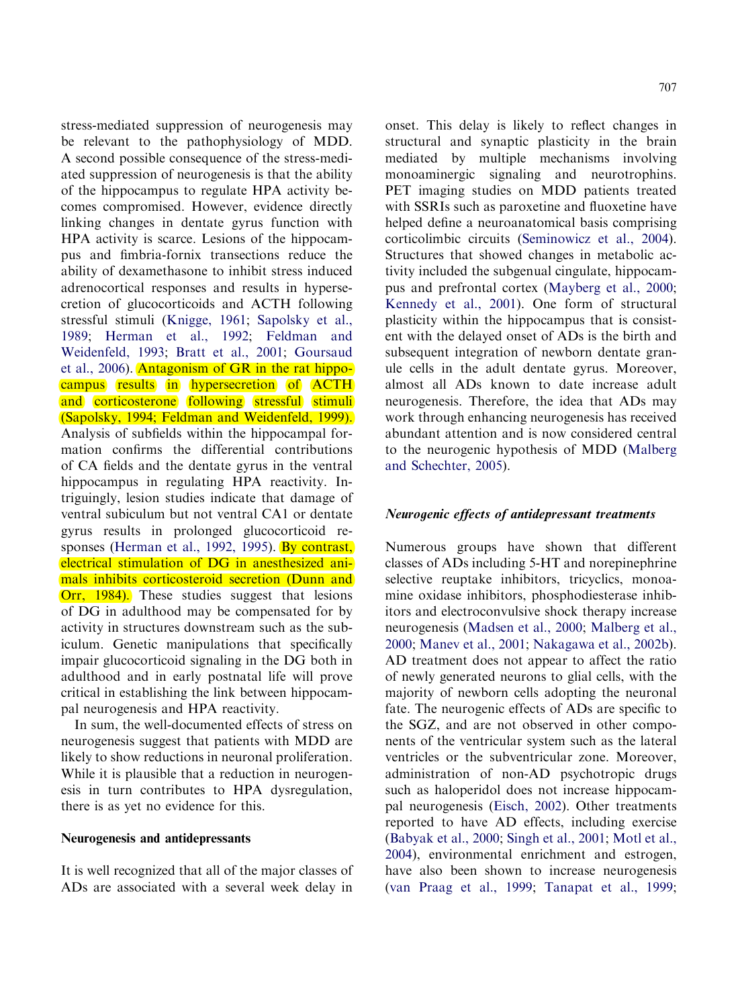stress-mediated suppression of neurogenesis may be relevant to the pathophysiology of MDD. A second possible consequence of the stress-mediated suppression of neurogenesis is that the ability of the hippocampus to regulate HPA activity becomes compromised. However, evidence directly linking changes in dentate gyrus function with HPA activity is scarce. Lesions of the hippocampus and fimbria-fornix transections reduce the ability of dexamethasone to inhibit stress induced adrenocortical responses and results in hypersecretion of glucocorticoids and ACTH following stressful stimuli ([Knigge, 1961;](#page-22-0) [Sapolsky et al.,](#page-23-0) [1989;](#page-23-0) [Herman et al., 1992;](#page-21-0) [Feldman and](#page-20-0) [Weidenfeld, 1993](#page-20-0); [Bratt et al., 2001](#page-19-0); [Goursaud](#page-21-0) [et al., 2006](#page-21-0)). Antagonism of GR in the rat hippocampus results in hypersecretion of ACTH and corticosterone following stressful stimuli [\(Sapolsky, 1994;](#page-23-0) [Feldman and Weidenfeld, 1999](#page-20-0)). Analysis of subfields within the hippocampal formation confirms the differential contributions of CA fields and the dentate gyrus in the ventral hippocampus in regulating HPA reactivity. Intriguingly, lesion studies indicate that damage of ventral subiculum but not ventral CA1 or dentate gyrus results in prolonged glucocorticoid re-sponses [\(Herman et al., 1992, 1995\)](#page-21-0). By contrast, electrical stimulation of DG in anesthesized animals inhibits corticosteroid secretion ([Dunn and](#page-20-0) [Orr, 1984\)](#page-20-0). These studies suggest that lesions of DG in adulthood may be compensated for by activity in structures downstream such as the subiculum. Genetic manipulations that specifically impair glucocorticoid signaling in the DG both in adulthood and in early postnatal life will prove critical in establishing the link between hippocampal neurogenesis and HPA reactivity.

In sum, the well-documented effects of stress on neurogenesis suggest that patients with MDD are likely to show reductions in neuronal proliferation. While it is plausible that a reduction in neurogenesis in turn contributes to HPA dysregulation, there is as yet no evidence for this.

#### Neurogenesis and antidepressants

It is well recognized that all of the major classes of ADs are associated with a several week delay in

onset. This delay is likely to reflect changes in structural and synaptic plasticity in the brain mediated by multiple mechanisms involving monoaminergic signaling and neurotrophins. PET imaging studies on MDD patients treated with SSRIs such as paroxetine and fluoxetine have helped define a neuroanatomical basis comprising corticolimbic circuits [\(Seminowicz et al., 2004](#page-24-0)). Structures that showed changes in metabolic activity included the subgenual cingulate, hippocampus and prefrontal cortex ([Mayberg et al., 2000;](#page-22-0) [Kennedy et al., 2001](#page-22-0)). One form of structural plasticity within the hippocampus that is consistent with the delayed onset of ADs is the birth and subsequent integration of newborn dentate granule cells in the adult dentate gyrus. Moreover, almost all ADs known to date increase adult neurogenesis. Therefore, the idea that ADs may work through enhancing neurogenesis has received abundant attention and is now considered central to the neurogenic hypothesis of MDD ([Malberg](#page-22-0) [and Schechter, 2005\)](#page-22-0).

## Neurogenic effects of antidepressant treatments

Numerous groups have shown that different classes of ADs including 5-HT and norepinephrine selective reuptake inhibitors, tricyclics, monoamine oxidase inhibitors, phosphodiesterase inhibitors and electroconvulsive shock therapy increase neurogenesis [\(Madsen et al., 2000;](#page-22-0) [Malberg et al.,](#page-22-0) [2000](#page-22-0); [Manev et al., 2001;](#page-22-0) [Nakagawa et al., 2002b](#page-23-0)). AD treatment does not appear to affect the ratio of newly generated neurons to glial cells, with the majority of newborn cells adopting the neuronal fate. The neurogenic effects of ADs are specific to the SGZ, and are not observed in other components of the ventricular system such as the lateral ventricles or the subventricular zone. Moreover, administration of non-AD psychotropic drugs such as haloperidol does not increase hippocampal neurogenesis [\(Eisch, 2002](#page-20-0)). Other treatments reported to have AD effects, including exercise [\(Babyak et al., 2000;](#page-19-0) [Singh et al., 2001;](#page-24-0) [Motl et al.,](#page-23-0) [2004](#page-23-0)), environmental enrichment and estrogen, have also been shown to increase neurogenesis [\(van Praag et al., 1999;](#page-23-0) [Tanapat et al., 1999;](#page-24-0)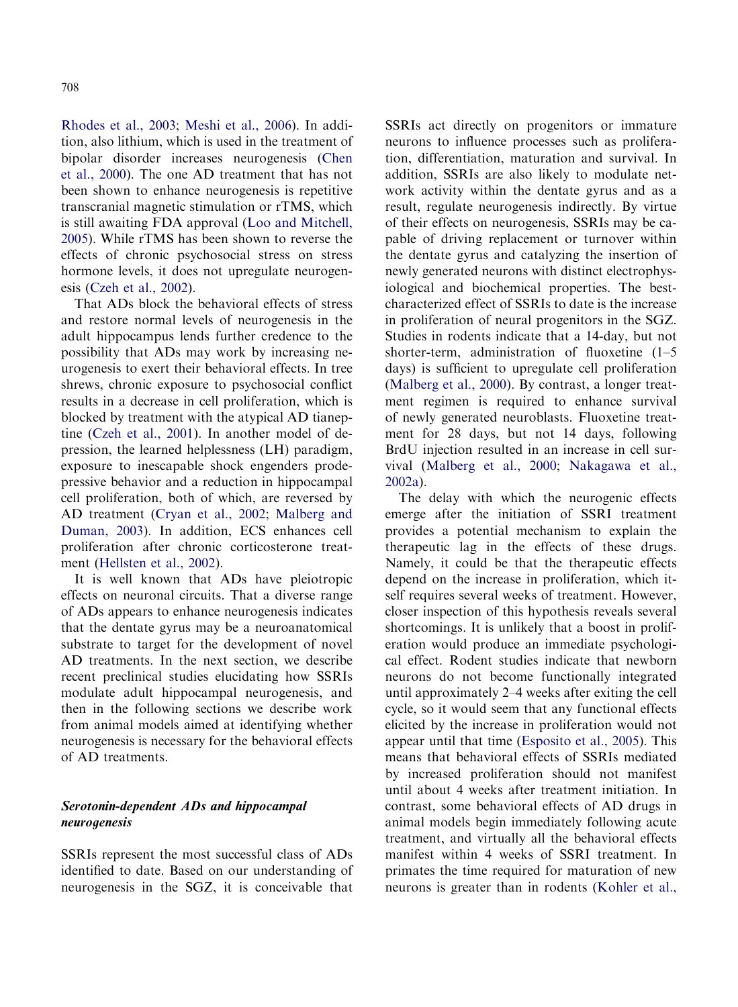[Rhodes et al., 2003;](#page-23-0) [Meshi et al., 2006](#page-23-0)). In addition, also lithium, which is used in the treatment of bipolar disorder increases neurogenesis ([Chen](#page-20-0) [et al., 2000](#page-20-0)). The one AD treatment that has not been shown to enhance neurogenesis is repetitive transcranial magnetic stimulation or rTMS, which is still awaiting FDA approval [\(Loo and Mitchell,](#page-22-0) [2005\)](#page-22-0). While rTMS has been shown to reverse the effects of chronic psychosocial stress on stress hormone levels, it does not upregulate neurogenesis [\(Czeh et al., 2002\)](#page-20-0).

That ADs block the behavioral effects of stress and restore normal levels of neurogenesis in the adult hippocampus lends further credence to the possibility that ADs may work by increasing neurogenesis to exert their behavioral effects. In tree shrews, chronic exposure to psychosocial conflict results in a decrease in cell proliferation, which is blocked by treatment with the atypical AD tianeptine [\(Czeh et al., 2001\)](#page-20-0). In another model of depression, the learned helplessness (LH) paradigm, exposure to inescapable shock engenders prodepressive behavior and a reduction in hippocampal cell proliferation, both of which, are reversed by AD treatment ([Cryan et al., 2002;](#page-20-0) [Malberg and](#page-22-0) [Duman, 2003\)](#page-22-0). In addition, ECS enhances cell proliferation after chronic corticosterone treatment [\(Hellsten et al., 2002\)](#page-21-0).

It is well known that ADs have pleiotropic effects on neuronal circuits. That a diverse range of ADs appears to enhance neurogenesis indicates that the dentate gyrus may be a neuroanatomical substrate to target for the development of novel AD treatments. In the next section, we describe recent preclinical studies elucidating how SSRIs modulate adult hippocampal neurogenesis, and then in the following sections we describe work from animal models aimed at identifying whether neurogenesis is necessary for the behavioral effects of AD treatments.

# Serotonin-dependent ADs and hippocampal neurogenesis

SSRIs represent the most successful class of ADs identified to date. Based on our understanding of neurogenesis in the SGZ, it is conceivable that SSRIs act directly on progenitors or immature neurons to influence processes such as proliferation, differentiation, maturation and survival. In addition, SSRIs are also likely to modulate network activity within the dentate gyrus and as a result, regulate neurogenesis indirectly. By virtue of their effects on neurogenesis, SSRIs may be capable of driving replacement or turnover within the dentate gyrus and catalyzing the insertion of newly generated neurons with distinct electrophysiological and biochemical properties. The bestcharacterized effect of SSRIs to date is the increase in proliferation of neural progenitors in the SGZ. Studies in rodents indicate that a 14-day, but not shorter-term, administration of fluoxetine (1–5 days) is sufficient to upregulate cell proliferation [\(Malberg et al., 2000\)](#page-22-0). By contrast, a longer treatment regimen is required to enhance survival of newly generated neuroblasts. Fluoxetine treatment for 28 days, but not 14 days, following BrdU injection resulted in an increase in cell survival [\(Malberg et al., 2000;](#page-22-0) [Nakagawa et al.,](#page-23-0) [2002a](#page-23-0)).

The delay with which the neurogenic effects emerge after the initiation of SSRI treatment provides a potential mechanism to explain the therapeutic lag in the effects of these drugs. Namely, it could be that the therapeutic effects depend on the increase in proliferation, which itself requires several weeks of treatment. However, closer inspection of this hypothesis reveals several shortcomings. It is unlikely that a boost in proliferation would produce an immediate psychological effect. Rodent studies indicate that newborn neurons do not become functionally integrated until approximately 2–4 weeks after exiting the cell cycle, so it would seem that any functional effects elicited by the increase in proliferation would not appear until that time [\(Esposito et al., 2005](#page-20-0)). This means that behavioral effects of SSRIs mediated by increased proliferation should not manifest until about 4 weeks after treatment initiation. In contrast, some behavioral effects of AD drugs in animal models begin immediately following acute treatment, and virtually all the behavioral effects manifest within 4 weeks of SSRI treatment. In primates the time required for maturation of new neurons is greater than in rodents ([Kohler et al.,](#page-22-0)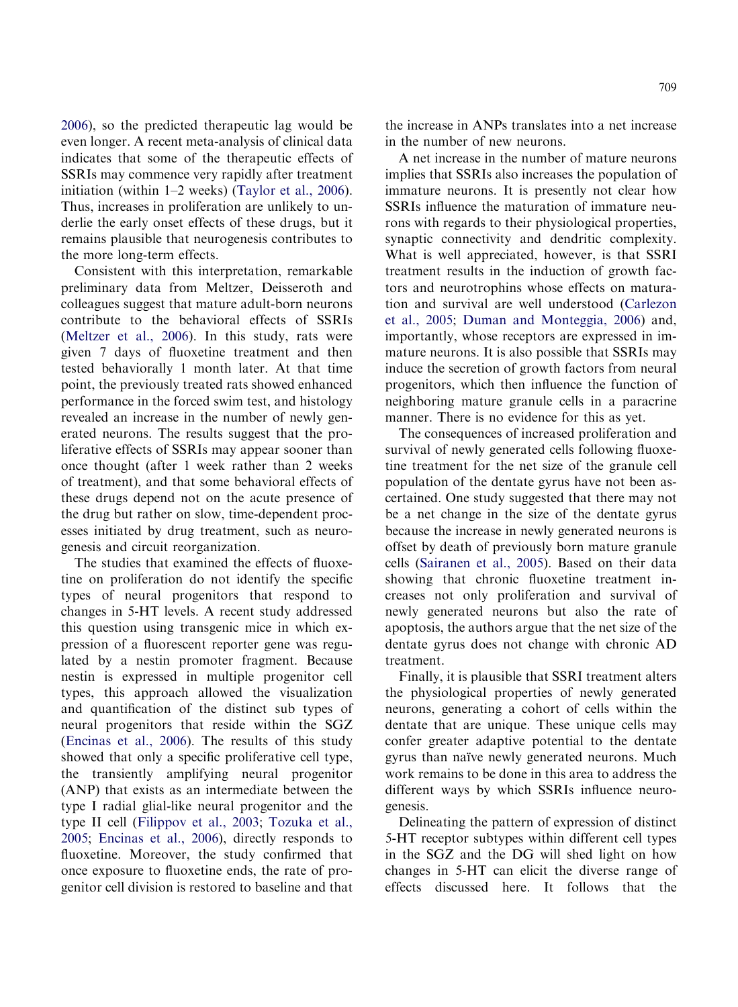[2006\)](#page-22-0), so the predicted therapeutic lag would be even longer. A recent meta-analysis of clinical data indicates that some of the therapeutic effects of SSRIs may commence very rapidly after treatment initiation (within 1–2 weeks) ([Taylor et al., 2006](#page-24-0)). Thus, increases in proliferation are unlikely to underlie the early onset effects of these drugs, but it remains plausible that neurogenesis contributes to the more long-term effects.

Consistent with this interpretation, remarkable preliminary data from Meltzer, Deisseroth and colleagues suggest that mature adult-born neurons contribute to the behavioral effects of SSRIs [\(Meltzer et al., 2006](#page-22-0)). In this study, rats were given 7 days of fluoxetine treatment and then tested behaviorally 1 month later. At that time point, the previously treated rats showed enhanced performance in the forced swim test, and histology revealed an increase in the number of newly generated neurons. The results suggest that the proliferative effects of SSRIs may appear sooner than once thought (after 1 week rather than 2 weeks of treatment), and that some behavioral effects of these drugs depend not on the acute presence of the drug but rather on slow, time-dependent processes initiated by drug treatment, such as neurogenesis and circuit reorganization.

The studies that examined the effects of fluoxetine on proliferation do not identify the specific types of neural progenitors that respond to changes in 5-HT levels. A recent study addressed this question using transgenic mice in which expression of a fluorescent reporter gene was regulated by a nestin promoter fragment. Because nestin is expressed in multiple progenitor cell types, this approach allowed the visualization and quantification of the distinct sub types of neural progenitors that reside within the SGZ [\(Encinas et al., 2006\)](#page-20-0). The results of this study showed that only a specific proliferative cell type, the transiently amplifying neural progenitor (ANP) that exists as an intermediate between the type I radial glial-like neural progenitor and the type II cell [\(Filippov et al., 2003](#page-20-0); [Tozuka et al.,](#page-24-0) [2005;](#page-24-0) [Encinas et al., 2006](#page-20-0)), directly responds to fluoxetine. Moreover, the study confirmed that once exposure to fluoxetine ends, the rate of progenitor cell division is restored to baseline and that the increase in ANPs translates into a net increase in the number of new neurons.

A net increase in the number of mature neurons implies that SSRIs also increases the population of immature neurons. It is presently not clear how SSRIs influence the maturation of immature neurons with regards to their physiological properties, synaptic connectivity and dendritic complexity. What is well appreciated, however, is that SSRI treatment results in the induction of growth factors and neurotrophins whose effects on maturation and survival are well understood ([Carlezon](#page-19-0) [et al., 2005](#page-19-0); [Duman and Monteggia, 2006\)](#page-20-0) and, importantly, whose receptors are expressed in immature neurons. It is also possible that SSRIs may induce the secretion of growth factors from neural progenitors, which then influence the function of neighboring mature granule cells in a paracrine manner. There is no evidence for this as yet.

The consequences of increased proliferation and survival of newly generated cells following fluoxetine treatment for the net size of the granule cell population of the dentate gyrus have not been ascertained. One study suggested that there may not be a net change in the size of the dentate gyrus because the increase in newly generated neurons is offset by death of previously born mature granule cells ([Sairanen et al., 2005\)](#page-23-0). Based on their data showing that chronic fluoxetine treatment increases not only proliferation and survival of newly generated neurons but also the rate of apoptosis, the authors argue that the net size of the dentate gyrus does not change with chronic AD treatment.

Finally, it is plausible that SSRI treatment alters the physiological properties of newly generated neurons, generating a cohort of cells within the dentate that are unique. These unique cells may confer greater adaptive potential to the dentate gyrus than naïve newly generated neurons. Much work remains to be done in this area to address the different ways by which SSRIs influence neurogenesis.

Delineating the pattern of expression of distinct 5-HT receptor subtypes within different cell types in the SGZ and the DG will shed light on how changes in 5-HT can elicit the diverse range of effects discussed here. It follows that the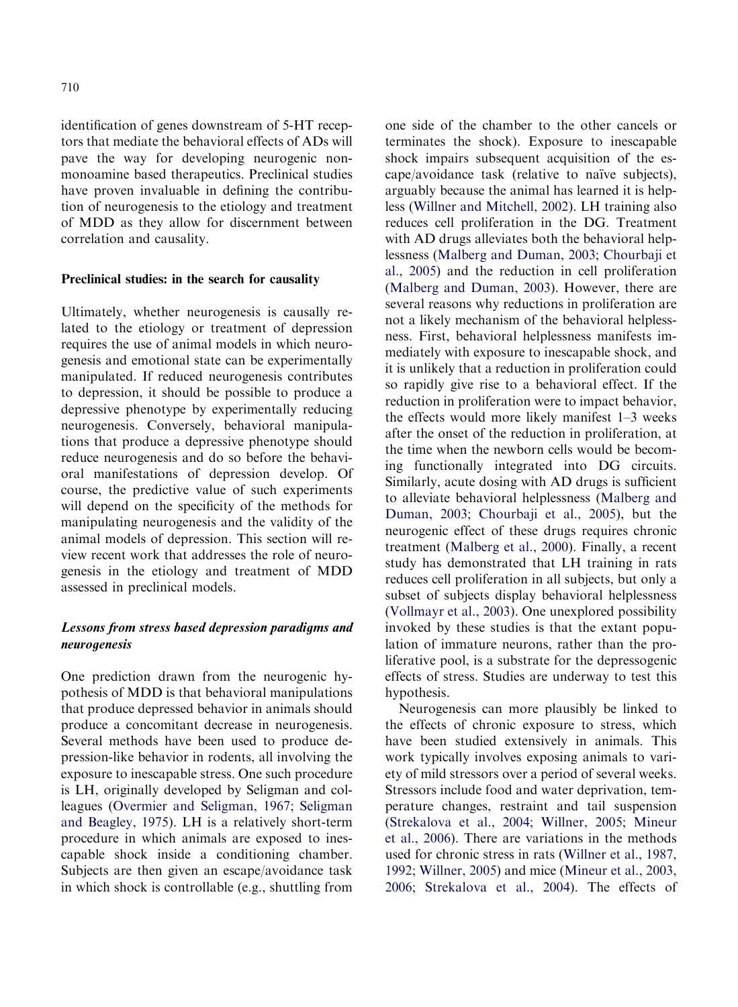identification of genes downstream of 5-HT receptors that mediate the behavioral effects of ADs will pave the way for developing neurogenic nonmonoamine based therapeutics. Preclinical studies have proven invaluable in defining the contribution of neurogenesis to the etiology and treatment of MDD as they allow for discernment between correlation and causality.

#### Preclinical studies: in the search for causality

Ultimately, whether neurogenesis is causally related to the etiology or treatment of depression requires the use of animal models in which neurogenesis and emotional state can be experimentally manipulated. If reduced neurogenesis contributes to depression, it should be possible to produce a depressive phenotype by experimentally reducing neurogenesis. Conversely, behavioral manipulations that produce a depressive phenotype should reduce neurogenesis and do so before the behavioral manifestations of depression develop. Of course, the predictive value of such experiments will depend on the specificity of the methods for manipulating neurogenesis and the validity of the animal models of depression. This section will review recent work that addresses the role of neurogenesis in the etiology and treatment of MDD assessed in preclinical models.

# Lessons from stress based depression paradigms and neurogenesis

One prediction drawn from the neurogenic hypothesis of MDD is that behavioral manipulations that produce depressed behavior in animals should produce a concomitant decrease in neurogenesis. Several methods have been used to produce depression-like behavior in rodents, all involving the exposure to inescapable stress. One such procedure is LH, originally developed by Seligman and colleagues [\(Overmier and Seligman, 1967](#page-23-0); [Seligman](#page-24-0) [and Beagley, 1975](#page-24-0)). LH is a relatively short-term procedure in which animals are exposed to inescapable shock inside a conditioning chamber. Subjects are then given an escape/avoidance task in which shock is controllable (e.g., shuttling from one side of the chamber to the other cancels or terminates the shock). Exposure to inescapable shock impairs subsequent acquisition of the es $cape/avoidance$  task (relative to naïve subjects), arguably because the animal has learned it is helpless ([Willner and Mitchell, 2002](#page-25-0)). LH training also reduces cell proliferation in the DG. Treatment with AD drugs alleviates both the behavioral helplessness ([Malberg and Duman, 2003](#page-22-0); [Chourbaji et](#page-20-0) [al., 2005\)](#page-20-0) and the reduction in cell proliferation [\(Malberg and Duman, 2003](#page-22-0)). However, there are several reasons why reductions in proliferation are not a likely mechanism of the behavioral helplessness. First, behavioral helplessness manifests immediately with exposure to inescapable shock, and it is unlikely that a reduction in proliferation could so rapidly give rise to a behavioral effect. If the reduction in proliferation were to impact behavior, the effects would more likely manifest 1–3 weeks after the onset of the reduction in proliferation, at the time when the newborn cells would be becoming functionally integrated into DG circuits. Similarly, acute dosing with AD drugs is sufficient to alleviate behavioral helplessness ([Malberg and](#page-22-0) [Duman, 2003;](#page-22-0) [Chourbaji et al., 2005](#page-20-0)), but the neurogenic effect of these drugs requires chronic treatment [\(Malberg et al., 2000](#page-22-0)). Finally, a recent study has demonstrated that LH training in rats reduces cell proliferation in all subjects, but only a subset of subjects display behavioral helplessness [\(Vollmayr et al., 2003](#page-25-0)). One unexplored possibility invoked by these studies is that the extant population of immature neurons, rather than the proliferative pool, is a substrate for the depressogenic effects of stress. Studies are underway to test this hypothesis.

Neurogenesis can more plausibly be linked to the effects of chronic exposure to stress, which have been studied extensively in animals. This work typically involves exposing animals to variety of mild stressors over a period of several weeks. Stressors include food and water deprivation, temperature changes, restraint and tail suspension [\(Strekalova et al., 2004;](#page-24-0) [Willner, 2005](#page-25-0); [Mineur](#page-23-0) [et al., 2006](#page-23-0)). There are variations in the methods used for chronic stress in rats ([Willner et al., 1987,](#page-25-0) [1992](#page-25-0); [Willner, 2005](#page-25-0)) and mice [\(Mineur et al., 2003,](#page-23-0) [2006](#page-23-0); [Strekalova et al., 2004](#page-24-0)). The effects of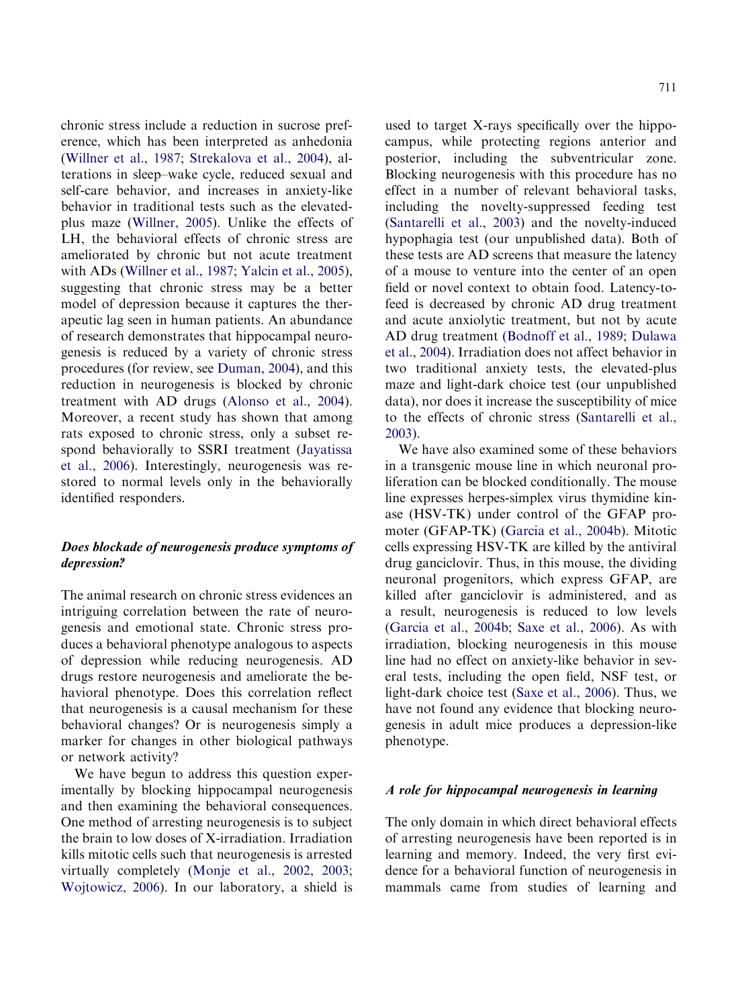chronic stress include a reduction in sucrose preference, which has been interpreted as anhedonia [\(Willner et al., 1987](#page-25-0); [Strekalova et al., 2004\)](#page-24-0), alterations in sleep–wake cycle, reduced sexual and self-care behavior, and increases in anxiety-like behavior in traditional tests such as the elevatedplus maze ([Willner, 2005\)](#page-25-0). Unlike the effects of LH, the behavioral effects of chronic stress are ameliorated by chronic but not acute treatment with ADs ([Willner et al., 1987](#page-25-0); [Yalcin et al., 2005](#page-25-0)), suggesting that chronic stress may be a better model of depression because it captures the therapeutic lag seen in human patients. An abundance of research demonstrates that hippocampal neurogenesis is reduced by a variety of chronic stress procedures (for review, see [Duman, 2004\)](#page-20-0), and this reduction in neurogenesis is blocked by chronic treatment with AD drugs ([Alonso et al., 2004](#page-19-0)). Moreover, a recent study has shown that among rats exposed to chronic stress, only a subset respond behaviorally to SSRI treatment [\(Jayatissa](#page-21-0) [et al., 2006\)](#page-21-0). Interestingly, neurogenesis was restored to normal levels only in the behaviorally identified responders.

# Does blockade of neurogenesis produce symptoms of depression?

The animal research on chronic stress evidences an intriguing correlation between the rate of neurogenesis and emotional state. Chronic stress produces a behavioral phenotype analogous to aspects of depression while reducing neurogenesis. AD drugs restore neurogenesis and ameliorate the behavioral phenotype. Does this correlation reflect that neurogenesis is a causal mechanism for these behavioral changes? Or is neurogenesis simply a marker for changes in other biological pathways or network activity?

We have begun to address this question experimentally by blocking hippocampal neurogenesis and then examining the behavioral consequences. One method of arresting neurogenesis is to subject the brain to low doses of X-irradiation. Irradiation kills mitotic cells such that neurogenesis is arrested virtually completely [\(Monje et al., 2002, 2003](#page-23-0); [Wojtowicz, 2006\)](#page-25-0). In our laboratory, a shield is used to target X-rays specifically over the hippocampus, while protecting regions anterior and posterior, including the subventricular zone. Blocking neurogenesis with this procedure has no effect in a number of relevant behavioral tasks, including the novelty-suppressed feeding test [\(Santarelli et al., 2003\)](#page-23-0) and the novelty-induced hypophagia test (our unpublished data). Both of these tests are AD screens that measure the latency of a mouse to venture into the center of an open field or novel context to obtain food. Latency-tofeed is decreased by chronic AD drug treatment and acute anxiolytic treatment, but not by acute AD drug treatment [\(Bodnoff et al., 1989;](#page-19-0) [Dulawa](#page-20-0) [et al., 2004](#page-20-0)). Irradiation does not affect behavior in two traditional anxiety tests, the elevated-plus maze and light-dark choice test (our unpublished data), nor does it increase the susceptibility of mice to the effects of chronic stress [\(Santarelli et al.,](#page-23-0) [2003](#page-23-0)).

We have also examined some of these behaviors in a transgenic mouse line in which neuronal proliferation can be blocked conditionally. The mouse line expresses herpes-simplex virus thymidine kinase (HSV-TK) under control of the GFAP promoter (GFAP-TK) ([Garcia et al., 2004b](#page-21-0)). Mitotic cells expressing HSV-TK are killed by the antiviral drug ganciclovir. Thus, in this mouse, the dividing neuronal progenitors, which express GFAP, are killed after ganciclovir is administered, and as a result, neurogenesis is reduced to low levels [\(Garcia et al., 2004b](#page-21-0); [Saxe et al., 2006\)](#page-24-0). As with irradiation, blocking neurogenesis in this mouse line had no effect on anxiety-like behavior in several tests, including the open field, NSF test, or light-dark choice test [\(Saxe et al., 2006](#page-24-0)). Thus, we have not found any evidence that blocking neurogenesis in adult mice produces a depression-like phenotype.

## A role for hippocampal neurogenesis in learning

The only domain in which direct behavioral effects of arresting neurogenesis have been reported is in learning and memory. Indeed, the very first evidence for a behavioral function of neurogenesis in mammals came from studies of learning and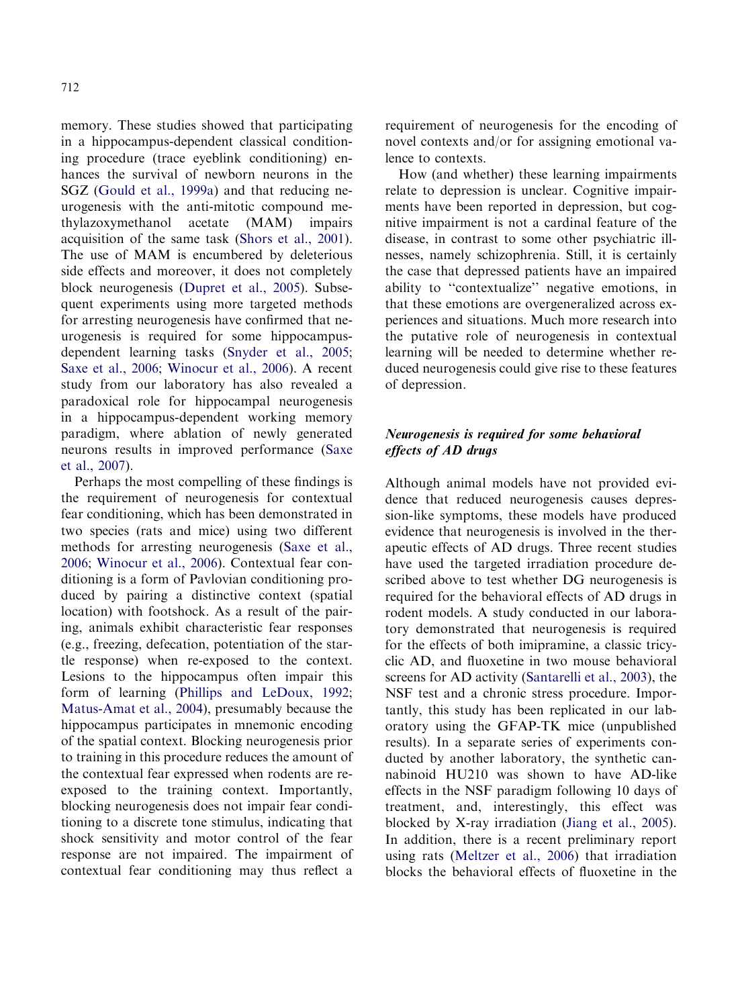memory. These studies showed that participating in a hippocampus-dependent classical conditioning procedure (trace eyeblink conditioning) enhances the survival of newborn neurons in the SGZ ([Gould et al., 1999a\)](#page-21-0) and that reducing neurogenesis with the anti-mitotic compound methylazoxymethanol acetate (MAM) impairs acquisition of the same task ([Shors et al., 2001](#page-24-0)). The use of MAM is encumbered by deleterious side effects and moreover, it does not completely block neurogenesis ([Dupret et al., 2005](#page-20-0)). Subsequent experiments using more targeted methods for arresting neurogenesis have confirmed that neurogenesis is required for some hippocampusdependent learning tasks ([Snyder et al., 2005](#page-24-0); [Saxe et al., 2006](#page-24-0); [Winocur et al., 2006](#page-25-0)). A recent study from our laboratory has also revealed a paradoxical role for hippocampal neurogenesis in a hippocampus-dependent working memory paradigm, where ablation of newly generated neurons results in improved performance [\(Saxe](#page-24-0) [et al., 2007](#page-24-0)).

Perhaps the most compelling of these findings is the requirement of neurogenesis for contextual fear conditioning, which has been demonstrated in two species (rats and mice) using two different methods for arresting neurogenesis [\(Saxe et al.,](#page-24-0) [2006;](#page-24-0) [Winocur et al., 2006](#page-25-0)). Contextual fear conditioning is a form of Pavlovian conditioning produced by pairing a distinctive context (spatial location) with footshock. As a result of the pairing, animals exhibit characteristic fear responses (e.g., freezing, defecation, potentiation of the startle response) when re-exposed to the context. Lesions to the hippocampus often impair this form of learning [\(Phillips and LeDoux, 1992](#page-23-0); [Matus-Amat et al., 2004\)](#page-22-0), presumably because the hippocampus participates in mnemonic encoding of the spatial context. Blocking neurogenesis prior to training in this procedure reduces the amount of the contextual fear expressed when rodents are reexposed to the training context. Importantly, blocking neurogenesis does not impair fear conditioning to a discrete tone stimulus, indicating that shock sensitivity and motor control of the fear response are not impaired. The impairment of contextual fear conditioning may thus reflect a

requirement of neurogenesis for the encoding of novel contexts and/or for assigning emotional valence to contexts.

How (and whether) these learning impairments relate to depression is unclear. Cognitive impairments have been reported in depression, but cognitive impairment is not a cardinal feature of the disease, in contrast to some other psychiatric illnesses, namely schizophrenia. Still, it is certainly the case that depressed patients have an impaired ability to ''contextualize'' negative emotions, in that these emotions are overgeneralized across experiences and situations. Much more research into the putative role of neurogenesis in contextual learning will be needed to determine whether reduced neurogenesis could give rise to these features of depression.

# Neurogenesis is required for some behavioral effects of AD drugs

Although animal models have not provided evidence that reduced neurogenesis causes depression-like symptoms, these models have produced evidence that neurogenesis is involved in the therapeutic effects of AD drugs. Three recent studies have used the targeted irradiation procedure described above to test whether DG neurogenesis is required for the behavioral effects of AD drugs in rodent models. A study conducted in our laboratory demonstrated that neurogenesis is required for the effects of both imipramine, a classic tricyclic AD, and fluoxetine in two mouse behavioral screens for AD activity [\(Santarelli et al., 2003](#page-23-0)), the NSF test and a chronic stress procedure. Importantly, this study has been replicated in our laboratory using the GFAP-TK mice (unpublished results). In a separate series of experiments conducted by another laboratory, the synthetic cannabinoid HU210 was shown to have AD-like effects in the NSF paradigm following 10 days of treatment, and, interestingly, this effect was blocked by X-ray irradiation ([Jiang et al., 2005](#page-21-0)). In addition, there is a recent preliminary report using rats ([Meltzer et al., 2006\)](#page-22-0) that irradiation blocks the behavioral effects of fluoxetine in the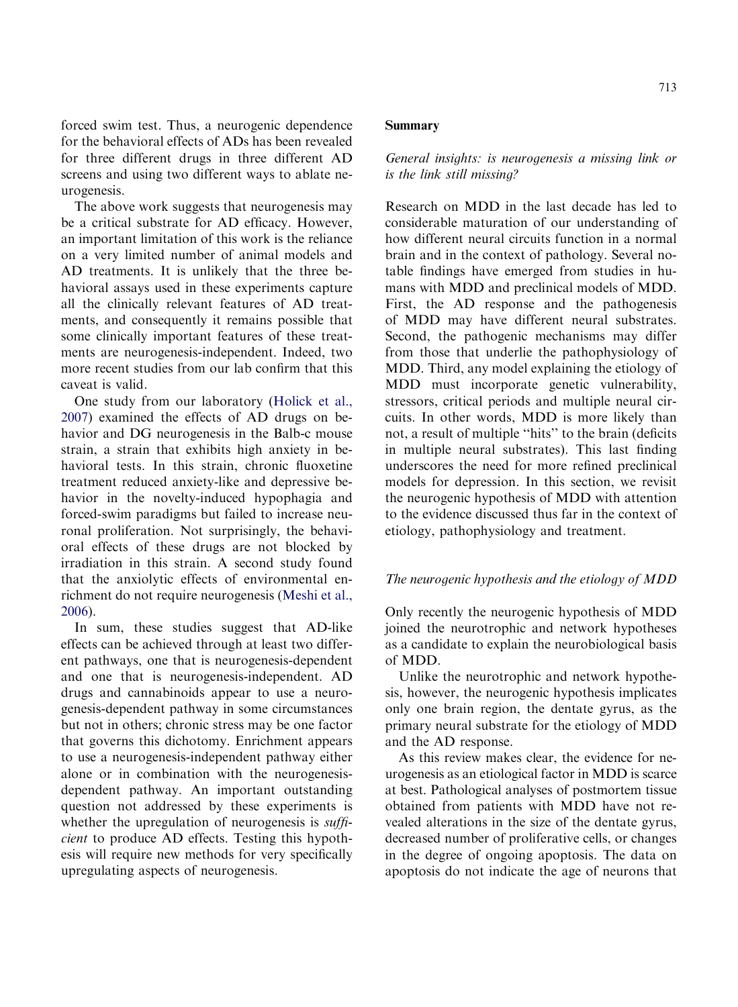forced swim test. Thus, a neurogenic dependence for the behavioral effects of ADs has been revealed for three different drugs in three different AD screens and using two different ways to ablate neurogenesis.

The above work suggests that neurogenesis may be a critical substrate for AD efficacy. However, an important limitation of this work is the reliance on a very limited number of animal models and AD treatments. It is unlikely that the three behavioral assays used in these experiments capture all the clinically relevant features of AD treatments, and consequently it remains possible that some clinically important features of these treatments are neurogenesis-independent. Indeed, two more recent studies from our lab confirm that this caveat is valid.

One study from our laboratory ([Holick et al.,](#page-21-0) [2007\)](#page-21-0) examined the effects of AD drugs on behavior and DG neurogenesis in the Balb-c mouse strain, a strain that exhibits high anxiety in behavioral tests. In this strain, chronic fluoxetine treatment reduced anxiety-like and depressive behavior in the novelty-induced hypophagia and forced-swim paradigms but failed to increase neuronal proliferation. Not surprisingly, the behavioral effects of these drugs are not blocked by irradiation in this strain. A second study found that the anxiolytic effects of environmental enrichment do not require neurogenesis [\(Meshi et al.,](#page-23-0) [2006\)](#page-23-0).

In sum, these studies suggest that AD-like effects can be achieved through at least two different pathways, one that is neurogenesis-dependent and one that is neurogenesis-independent. AD drugs and cannabinoids appear to use a neurogenesis-dependent pathway in some circumstances but not in others; chronic stress may be one factor that governs this dichotomy. Enrichment appears to use a neurogenesis-independent pathway either alone or in combination with the neurogenesisdependent pathway. An important outstanding question not addressed by these experiments is whether the upregulation of neurogenesis is *suffi*cient to produce AD effects. Testing this hypothesis will require new methods for very specifically upregulating aspects of neurogenesis.

## Summary

General insights: is neurogenesis a missing link or is the link still missing?

Research on MDD in the last decade has led to considerable maturation of our understanding of how different neural circuits function in a normal brain and in the context of pathology. Several notable findings have emerged from studies in humans with MDD and preclinical models of MDD. First, the AD response and the pathogenesis of MDD may have different neural substrates. Second, the pathogenic mechanisms may differ from those that underlie the pathophysiology of MDD. Third, any model explaining the etiology of MDD must incorporate genetic vulnerability, stressors, critical periods and multiple neural circuits. In other words, MDD is more likely than not, a result of multiple ''hits'' to the brain (deficits in multiple neural substrates). This last finding underscores the need for more refined preclinical models for depression. In this section, we revisit the neurogenic hypothesis of MDD with attention to the evidence discussed thus far in the context of etiology, pathophysiology and treatment.

## The neurogenic hypothesis and the etiology of MDD

Only recently the neurogenic hypothesis of MDD joined the neurotrophic and network hypotheses as a candidate to explain the neurobiological basis of MDD.

Unlike the neurotrophic and network hypothesis, however, the neurogenic hypothesis implicates only one brain region, the dentate gyrus, as the primary neural substrate for the etiology of MDD and the AD response.

As this review makes clear, the evidence for neurogenesis as an etiological factor in MDD is scarce at best. Pathological analyses of postmortem tissue obtained from patients with MDD have not revealed alterations in the size of the dentate gyrus, decreased number of proliferative cells, or changes in the degree of ongoing apoptosis. The data on apoptosis do not indicate the age of neurons that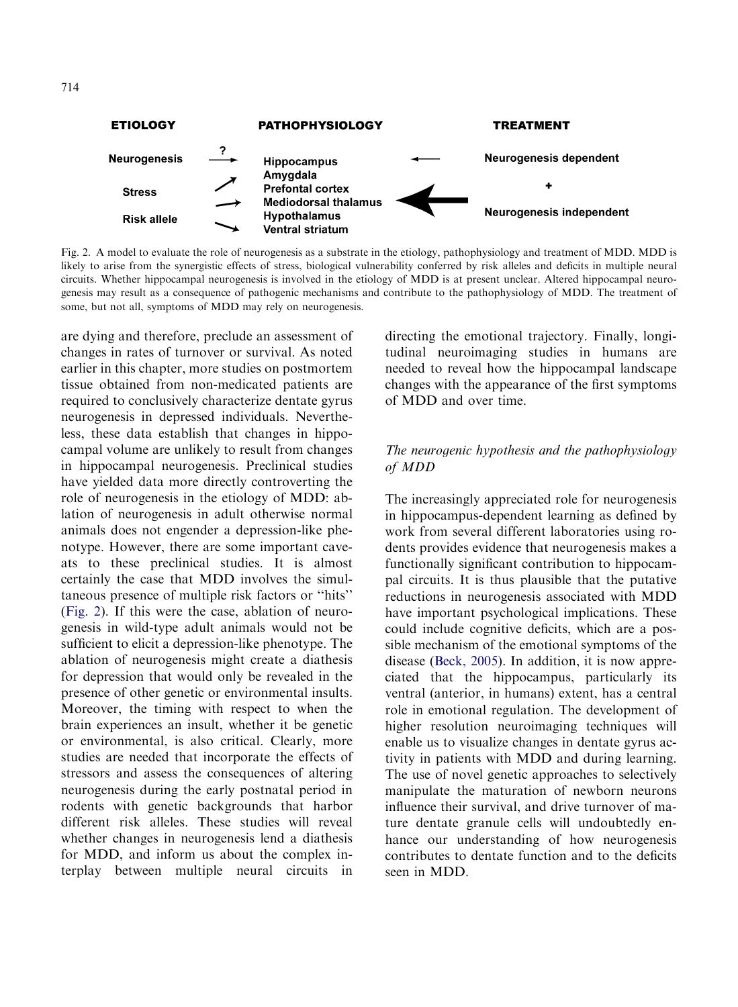

Fig. 2. A model to evaluate the role of neurogenesis as a substrate in the etiology, pathophysiology and treatment of MDD. MDD is likely to arise from the synergistic effects of stress, biological vulnerability conferred by risk alleles and deficits in multiple neural circuits. Whether hippocampal neurogenesis is involved in the etiology of MDD is at present unclear. Altered hippocampal neurogenesis may result as a consequence of pathogenic mechanisms and contribute to the pathophysiology of MDD. The treatment of some, but not all, symptoms of MDD may rely on neurogenesis.

are dying and therefore, preclude an assessment of changes in rates of turnover or survival. As noted earlier in this chapter, more studies on postmortem tissue obtained from non-medicated patients are required to conclusively characterize dentate gyrus neurogenesis in depressed individuals. Nevertheless, these data establish that changes in hippocampal volume are unlikely to result from changes in hippocampal neurogenesis. Preclinical studies have yielded data more directly controverting the role of neurogenesis in the etiology of MDD: ablation of neurogenesis in adult otherwise normal animals does not engender a depression-like phenotype. However, there are some important caveats to these preclinical studies. It is almost certainly the case that MDD involves the simultaneous presence of multiple risk factors or ''hits'' (Fig. 2). If this were the case, ablation of neurogenesis in wild-type adult animals would not be sufficient to elicit a depression-like phenotype. The ablation of neurogenesis might create a diathesis for depression that would only be revealed in the presence of other genetic or environmental insults. Moreover, the timing with respect to when the brain experiences an insult, whether it be genetic or environmental, is also critical. Clearly, more studies are needed that incorporate the effects of stressors and assess the consequences of altering neurogenesis during the early postnatal period in rodents with genetic backgrounds that harbor different risk alleles. These studies will reveal whether changes in neurogenesis lend a diathesis for MDD, and inform us about the complex interplay between multiple neural circuits in

directing the emotional trajectory. Finally, longitudinal neuroimaging studies in humans are needed to reveal how the hippocampal landscape changes with the appearance of the first symptoms of MDD and over time.

# The neurogenic hypothesis and the pathophysiology of MDD

The increasingly appreciated role for neurogenesis in hippocampus-dependent learning as defined by work from several different laboratories using rodents provides evidence that neurogenesis makes a functionally significant contribution to hippocampal circuits. It is thus plausible that the putative reductions in neurogenesis associated with MDD have important psychological implications. These could include cognitive deficits, which are a possible mechanism of the emotional symptoms of the disease [\(Beck, 2005](#page-19-0)). In addition, it is now appreciated that the hippocampus, particularly its ventral (anterior, in humans) extent, has a central role in emotional regulation. The development of higher resolution neuroimaging techniques will enable us to visualize changes in dentate gyrus activity in patients with MDD and during learning. The use of novel genetic approaches to selectively manipulate the maturation of newborn neurons influence their survival, and drive turnover of mature dentate granule cells will undoubtedly enhance our understanding of how neurogenesis contributes to dentate function and to the deficits seen in MDD.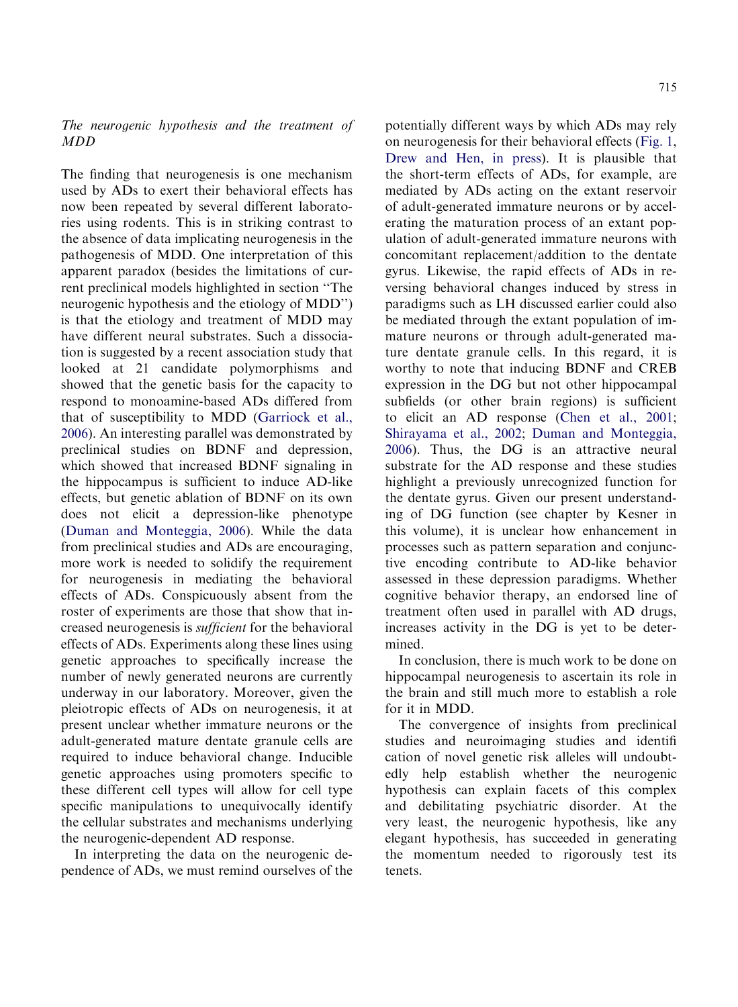# The neurogenic hypothesis and the treatment of MDD

The finding that neurogenesis is one mechanism used by ADs to exert their behavioral effects has now been repeated by several different laboratories using rodents. This is in striking contrast to the absence of data implicating neurogenesis in the pathogenesis of MDD. One interpretation of this apparent paradox (besides the limitations of current preclinical models highlighted in section ''The neurogenic hypothesis and the etiology of MDD'') is that the etiology and treatment of MDD may have different neural substrates. Such a dissociation is suggested by a recent association study that looked at 21 candidate polymorphisms and showed that the genetic basis for the capacity to respond to monoamine-based ADs differed from that of susceptibility to MDD [\(Garriock et al.,](#page-21-0) [2006\)](#page-21-0). An interesting parallel was demonstrated by preclinical studies on BDNF and depression, which showed that increased BDNF signaling in the hippocampus is sufficient to induce AD-like effects, but genetic ablation of BDNF on its own does not elicit a depression-like phenotype [\(Duman and Monteggia, 2006](#page-20-0)). While the data from preclinical studies and ADs are encouraging, more work is needed to solidify the requirement for neurogenesis in mediating the behavioral effects of ADs. Conspicuously absent from the roster of experiments are those that show that increased neurogenesis is sufficient for the behavioral effects of ADs. Experiments along these lines using genetic approaches to specifically increase the number of newly generated neurons are currently underway in our laboratory. Moreover, given the pleiotropic effects of ADs on neurogenesis, it at present unclear whether immature neurons or the adult-generated mature dentate granule cells are required to induce behavioral change. Inducible genetic approaches using promoters specific to these different cell types will allow for cell type specific manipulations to unequivocally identify the cellular substrates and mechanisms underlying the neurogenic-dependent AD response.

In interpreting the data on the neurogenic dependence of ADs, we must remind ourselves of the potentially different ways by which ADs may rely on neurogenesis for their behavioral effects [\(Fig. 1,](#page-3-0) [Drew and Hen, in press](#page-20-0)). It is plausible that the short-term effects of ADs, for example, are mediated by ADs acting on the extant reservoir of adult-generated immature neurons or by accelerating the maturation process of an extant population of adult-generated immature neurons with concomitant replacement/addition to the dentate gyrus. Likewise, the rapid effects of ADs in reversing behavioral changes induced by stress in paradigms such as LH discussed earlier could also be mediated through the extant population of immature neurons or through adult-generated mature dentate granule cells. In this regard, it is worthy to note that inducing BDNF and CREB expression in the DG but not other hippocampal subfields (or other brain regions) is sufficient to elicit an AD response [\(Chen et al., 2001;](#page-20-0) [Shirayama et al., 2002;](#page-24-0) [Duman and Monteggia,](#page-20-0) [2006](#page-20-0)). Thus, the DG is an attractive neural substrate for the AD response and these studies highlight a previously unrecognized function for the dentate gyrus. Given our present understanding of DG function (see chapter by Kesner in this volume), it is unclear how enhancement in processes such as pattern separation and conjunctive encoding contribute to AD-like behavior assessed in these depression paradigms. Whether cognitive behavior therapy, an endorsed line of treatment often used in parallel with AD drugs, increases activity in the DG is yet to be determined.

In conclusion, there is much work to be done on hippocampal neurogenesis to ascertain its role in the brain and still much more to establish a role for it in MDD.

The convergence of insights from preclinical studies and neuroimaging studies and identifi cation of novel genetic risk alleles will undoubtedly help establish whether the neurogenic hypothesis can explain facets of this complex and debilitating psychiatric disorder. At the very least, the neurogenic hypothesis, like any elegant hypothesis, has succeeded in generating the momentum needed to rigorously test its tenets.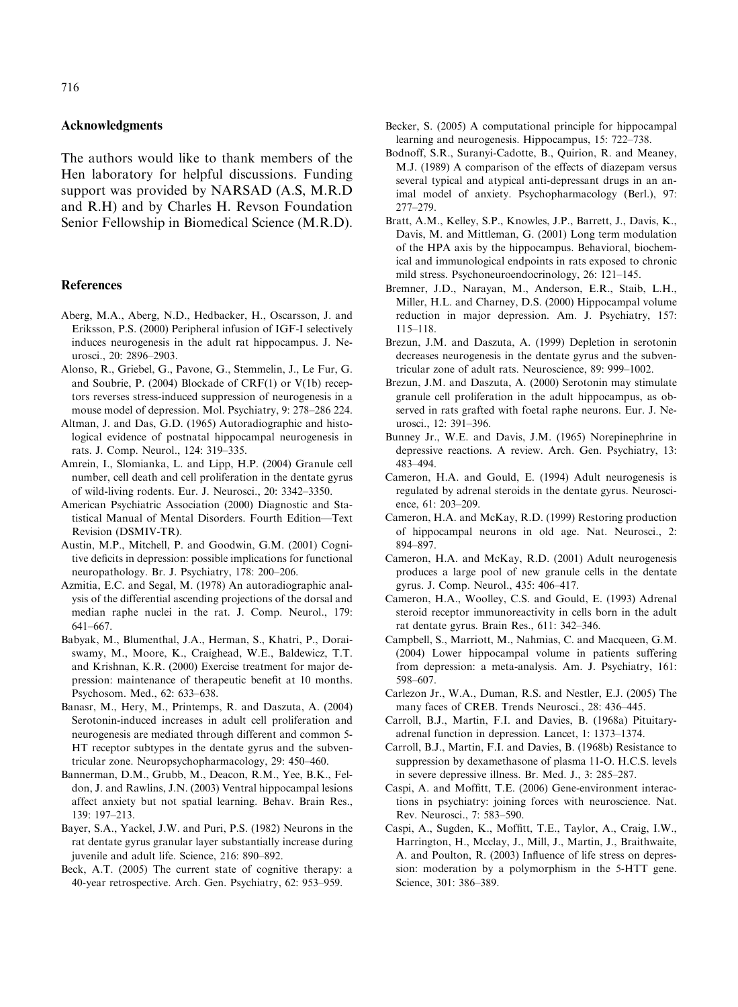### <span id="page-19-0"></span>Acknowledgments

The authors would like to thank members of the Hen laboratory for helpful discussions. Funding support was provided by NARSAD (A.S, M.R.D and R.H) and by Charles H. Revson Foundation Senior Fellowship in Biomedical Science (M.R.D).

#### References

- Aberg, M.A., Aberg, N.D., Hedbacker, H., Oscarsson, J. and Eriksson, P.S. (2000) Peripheral infusion of IGF-I selectively induces neurogenesis in the adult rat hippocampus. J. Neurosci., 20: 2896–2903.
- Alonso, R., Griebel, G., Pavone, G., Stemmelin, J., Le Fur, G. and Soubrie, P. (2004) Blockade of CRF(1) or V(1b) receptors reverses stress-induced suppression of neurogenesis in a mouse model of depression. Mol. Psychiatry, 9: 278–286 224.
- Altman, J. and Das, G.D. (1965) Autoradiographic and histological evidence of postnatal hippocampal neurogenesis in rats. J. Comp. Neurol., 124: 319–335.
- Amrein, I., Slomianka, L. and Lipp, H.P. (2004) Granule cell number, cell death and cell proliferation in the dentate gyrus of wild-living rodents. Eur. J. Neurosci., 20: 3342–3350.
- American Psychiatric Association (2000) Diagnostic and Statistical Manual of Mental Disorders. Fourth Edition—Text Revision (DSMIV-TR).
- Austin, M.P., Mitchell, P. and Goodwin, G.M. (2001) Cognitive deficits in depression: possible implications for functional neuropathology. Br. J. Psychiatry, 178: 200–206.
- Azmitia, E.C. and Segal, M. (1978) An autoradiographic analysis of the differential ascending projections of the dorsal and median raphe nuclei in the rat. J. Comp. Neurol., 179: 641–667.
- Babyak, M., Blumenthal, J.A., Herman, S., Khatri, P., Doraiswamy, M., Moore, K., Craighead, W.E., Baldewicz, T.T. and Krishnan, K.R. (2000) Exercise treatment for major depression: maintenance of therapeutic benefit at 10 months. Psychosom. Med., 62: 633–638.
- Banasr, M., Hery, M., Printemps, R. and Daszuta, A. (2004) Serotonin-induced increases in adult cell proliferation and neurogenesis are mediated through different and common 5- HT receptor subtypes in the dentate gyrus and the subventricular zone. Neuropsychopharmacology, 29: 450–460.
- Bannerman, D.M., Grubb, M., Deacon, R.M., Yee, B.K., Feldon, J. and Rawlins, J.N. (2003) Ventral hippocampal lesions affect anxiety but not spatial learning. Behav. Brain Res., 139: 197–213.
- Bayer, S.A., Yackel, J.W. and Puri, P.S. (1982) Neurons in the rat dentate gyrus granular layer substantially increase during juvenile and adult life. Science, 216: 890–892.
- Beck, A.T. (2005) The current state of cognitive therapy: a 40-year retrospective. Arch. Gen. Psychiatry, 62: 953–959.
- Becker, S. (2005) A computational principle for hippocampal learning and neurogenesis. Hippocampus, 15: 722–738.
- Bodnoff, S.R., Suranyi-Cadotte, B., Quirion, R. and Meaney, M.J. (1989) A comparison of the effects of diazepam versus several typical and atypical anti-depressant drugs in an animal model of anxiety. Psychopharmacology (Berl.), 97: 277–279.
- Bratt, A.M., Kelley, S.P., Knowles, J.P., Barrett, J., Davis, K., Davis, M. and Mittleman, G. (2001) Long term modulation of the HPA axis by the hippocampus. Behavioral, biochemical and immunological endpoints in rats exposed to chronic mild stress. Psychoneuroendocrinology, 26: 121–145.
- Bremner, J.D., Narayan, M., Anderson, E.R., Staib, L.H., Miller, H.L. and Charney, D.S. (2000) Hippocampal volume reduction in major depression. Am. J. Psychiatry, 157: 115–118.
- Brezun, J.M. and Daszuta, A. (1999) Depletion in serotonin decreases neurogenesis in the dentate gyrus and the subventricular zone of adult rats. Neuroscience, 89: 999–1002.
- Brezun, J.M. and Daszuta, A. (2000) Serotonin may stimulate granule cell proliferation in the adult hippocampus, as observed in rats grafted with foetal raphe neurons. Eur. J. Neurosci., 12: 391–396.
- Bunney Jr., W.E. and Davis, J.M. (1965) Norepinephrine in depressive reactions. A review. Arch. Gen. Psychiatry, 13: 483–494.
- Cameron, H.A. and Gould, E. (1994) Adult neurogenesis is regulated by adrenal steroids in the dentate gyrus. Neuroscience, 61: 203–209.
- Cameron, H.A. and McKay, R.D. (1999) Restoring production of hippocampal neurons in old age. Nat. Neurosci., 2: 894–897.
- Cameron, H.A. and McKay, R.D. (2001) Adult neurogenesis produces a large pool of new granule cells in the dentate gyrus. J. Comp. Neurol., 435: 406–417.
- Cameron, H.A., Woolley, C.S. and Gould, E. (1993) Adrenal steroid receptor immunoreactivity in cells born in the adult rat dentate gyrus. Brain Res., 611: 342–346.
- Campbell, S., Marriott, M., Nahmias, C. and Macqueen, G.M. (2004) Lower hippocampal volume in patients suffering from depression: a meta-analysis. Am. J. Psychiatry, 161: 598–607.
- Carlezon Jr., W.A., Duman, R.S. and Nestler, E.J. (2005) The many faces of CREB. Trends Neurosci., 28: 436–445.
- Carroll, B.J., Martin, F.I. and Davies, B. (1968a) Pituitaryadrenal function in depression. Lancet, 1: 1373–1374.
- Carroll, B.J., Martin, F.I. and Davies, B. (1968b) Resistance to suppression by dexamethasone of plasma 11-O. H.C.S. levels in severe depressive illness. Br. Med. J., 3: 285–287.
- Caspi, A. and Moffitt, T.E. (2006) Gene-environment interactions in psychiatry: joining forces with neuroscience. Nat. Rev. Neurosci., 7: 583–590.
- Caspi, A., Sugden, K., Moffitt, T.E., Taylor, A., Craig, I.W., Harrington, H., Mcclay, J., Mill, J., Martin, J., Braithwaite, A. and Poulton, R. (2003) Influence of life stress on depression: moderation by a polymorphism in the 5-HTT gene. Science, 301: 386–389.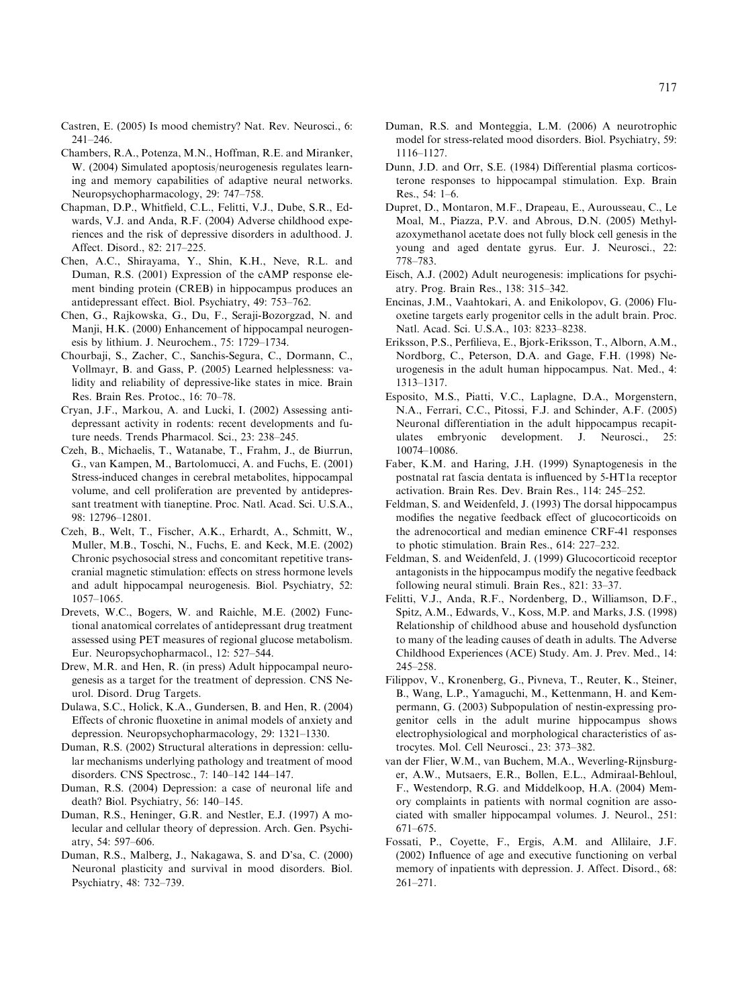- <span id="page-20-0"></span>Castren, E. (2005) Is mood chemistry? Nat. Rev. Neurosci., 6: 241–246.
- Chambers, R.A., Potenza, M.N., Hoffman, R.E. and Miranker, W. (2004) Simulated apoptosis/neurogenesis regulates learning and memory capabilities of adaptive neural networks. Neuropsychopharmacology, 29: 747–758.
- Chapman, D.P., Whitfield, C.L., Felitti, V.J., Dube, S.R., Edwards, V.J. and Anda, R.F. (2004) Adverse childhood experiences and the risk of depressive disorders in adulthood. J. Affect. Disord., 82: 217–225.
- Chen, A.C., Shirayama, Y., Shin, K.H., Neve, R.L. and Duman, R.S. (2001) Expression of the cAMP response element binding protein (CREB) in hippocampus produces an antidepressant effect. Biol. Psychiatry, 49: 753–762.
- Chen, G., Rajkowska, G., Du, F., Seraji-Bozorgzad, N. and Manji, H.K. (2000) Enhancement of hippocampal neurogenesis by lithium. J. Neurochem., 75: 1729–1734.
- Chourbaji, S., Zacher, C., Sanchis-Segura, C., Dormann, C., Vollmayr, B. and Gass, P. (2005) Learned helplessness: validity and reliability of depressive-like states in mice. Brain Res. Brain Res. Protoc., 16: 70–78.
- Cryan, J.F., Markou, A. and Lucki, I. (2002) Assessing antidepressant activity in rodents: recent developments and future needs. Trends Pharmacol. Sci., 23: 238–245.
- Czeh, B., Michaelis, T., Watanabe, T., Frahm, J., de Biurrun, G., van Kampen, M., Bartolomucci, A. and Fuchs, E. (2001) Stress-induced changes in cerebral metabolites, hippocampal volume, and cell proliferation are prevented by antidepressant treatment with tianeptine. Proc. Natl. Acad. Sci. U.S.A., 98: 12796–12801.
- Czeh, B., Welt, T., Fischer, A.K., Erhardt, A., Schmitt, W., Muller, M.B., Toschi, N., Fuchs, E. and Keck, M.E. (2002) Chronic psychosocial stress and concomitant repetitive transcranial magnetic stimulation: effects on stress hormone levels and adult hippocampal neurogenesis. Biol. Psychiatry, 52: 1057–1065.
- Drevets, W.C., Bogers, W. and Raichle, M.E. (2002) Functional anatomical correlates of antidepressant drug treatment assessed using PET measures of regional glucose metabolism. Eur. Neuropsychopharmacol., 12: 527–544.
- Drew, M.R. and Hen, R. (in press) Adult hippocampal neurogenesis as a target for the treatment of depression. CNS Neurol. Disord. Drug Targets.
- Dulawa, S.C., Holick, K.A., Gundersen, B. and Hen, R. (2004) Effects of chronic fluoxetine in animal models of anxiety and depression. Neuropsychopharmacology, 29: 1321–1330.
- Duman, R.S. (2002) Structural alterations in depression: cellular mechanisms underlying pathology and treatment of mood disorders. CNS Spectrosc., 7: 140–142 144–147.
- Duman, R.S. (2004) Depression: a case of neuronal life and death? Biol. Psychiatry, 56: 140–145.
- Duman, R.S., Heninger, G.R. and Nestler, E.J. (1997) A molecular and cellular theory of depression. Arch. Gen. Psychiatry, 54: 597–606.
- Duman, R.S., Malberg, J., Nakagawa, S. and D'sa, C. (2000) Neuronal plasticity and survival in mood disorders. Biol. Psychiatry, 48: 732–739.
- Duman, R.S. and Monteggia, L.M. (2006) A neurotrophic model for stress-related mood disorders. Biol. Psychiatry, 59: 1116–1127.
- Dunn, J.D. and Orr, S.E. (1984) Differential plasma corticosterone responses to hippocampal stimulation. Exp. Brain Res., 54: 1–6.
- Dupret, D., Montaron, M.F., Drapeau, E., Aurousseau, C., Le Moal, M., Piazza, P.V. and Abrous, D.N. (2005) Methylazoxymethanol acetate does not fully block cell genesis in the young and aged dentate gyrus. Eur. J. Neurosci., 22: 778–783.
- Eisch, A.J. (2002) Adult neurogenesis: implications for psychiatry. Prog. Brain Res., 138: 315–342.
- Encinas, J.M., Vaahtokari, A. and Enikolopov, G. (2006) Fluoxetine targets early progenitor cells in the adult brain. Proc. Natl. Acad. Sci. U.S.A., 103: 8233–8238.
- Eriksson, P.S., Perfilieva, E., Bjork-Eriksson, T., Alborn, A.M., Nordborg, C., Peterson, D.A. and Gage, F.H. (1998) Neurogenesis in the adult human hippocampus. Nat. Med., 4: 1313–1317.
- Esposito, M.S., Piatti, V.C., Laplagne, D.A., Morgenstern, N.A., Ferrari, C.C., Pitossi, F.J. and Schinder, A.F. (2005) Neuronal differentiation in the adult hippocampus recapitulates embryonic development. J. Neurosci., 25: 10074–10086.
- Faber, K.M. and Haring, J.H. (1999) Synaptogenesis in the postnatal rat fascia dentata is influenced by 5-HT1a receptor activation. Brain Res. Dev. Brain Res., 114: 245–252.
- Feldman, S. and Weidenfeld, J. (1993) The dorsal hippocampus modifies the negative feedback effect of glucocorticoids on the adrenocortical and median eminence CRF-41 responses to photic stimulation. Brain Res., 614: 227–232.
- Feldman, S. and Weidenfeld, J. (1999) Glucocorticoid receptor antagonists in the hippocampus modify the negative feedback following neural stimuli. Brain Res., 821: 33–37.
- Felitti, V.J., Anda, R.F., Nordenberg, D., Williamson, D.F., Spitz, A.M., Edwards, V., Koss, M.P. and Marks, J.S. (1998) Relationship of childhood abuse and household dysfunction to many of the leading causes of death in adults. The Adverse Childhood Experiences (ACE) Study. Am. J. Prev. Med., 14: 245–258.
- Filippov, V., Kronenberg, G., Pivneva, T., Reuter, K., Steiner, B., Wang, L.P., Yamaguchi, M., Kettenmann, H. and Kempermann, G. (2003) Subpopulation of nestin-expressing progenitor cells in the adult murine hippocampus shows electrophysiological and morphological characteristics of astrocytes. Mol. Cell Neurosci., 23: 373–382.
- van der Flier, W.M., van Buchem, M.A., Weverling-Rijnsburger, A.W., Mutsaers, E.R., Bollen, E.L., Admiraal-Behloul, F., Westendorp, R.G. and Middelkoop, H.A. (2004) Memory complaints in patients with normal cognition are associated with smaller hippocampal volumes. J. Neurol., 251: 671–675.
- Fossati, P., Coyette, F., Ergis, A.M. and Allilaire, J.F. (2002) Influence of age and executive functioning on verbal memory of inpatients with depression. J. Affect. Disord., 68: 261–271.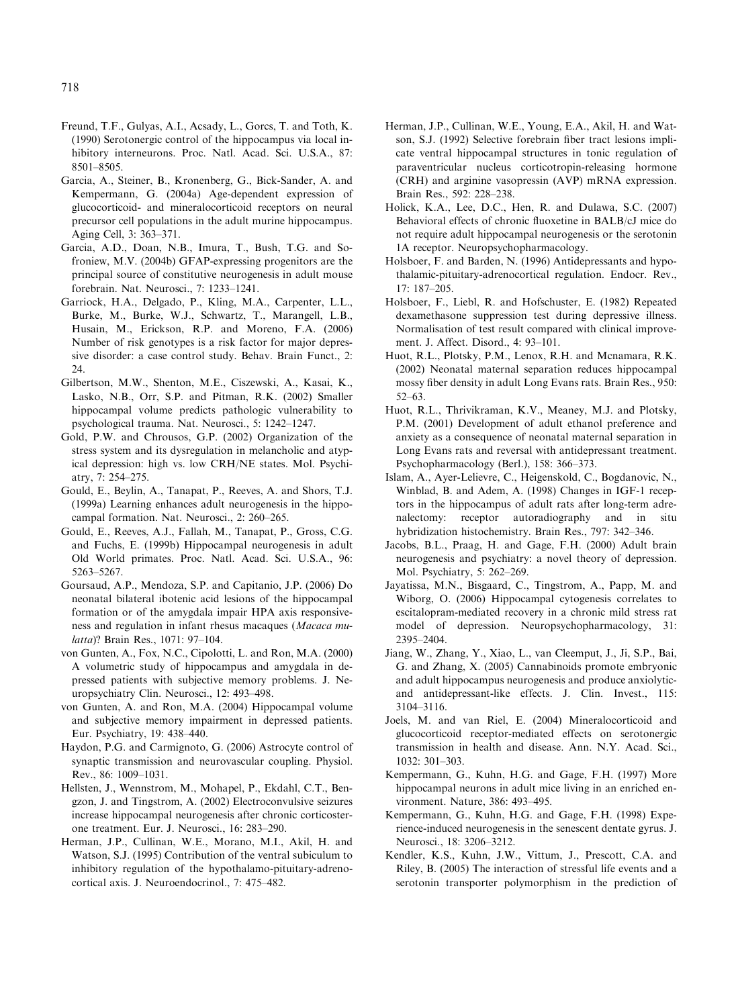- <span id="page-21-0"></span>Freund, T.F., Gulyas, A.I., Acsady, L., Gorcs, T. and Toth, K. (1990) Serotonergic control of the hippocampus via local inhibitory interneurons. Proc. Natl. Acad. Sci. U.S.A., 87: 8501–8505.
- Garcia, A., Steiner, B., Kronenberg, G., Bick-Sander, A. and Kempermann, G. (2004a) Age-dependent expression of glucocorticoid- and mineralocorticoid receptors on neural precursor cell populations in the adult murine hippocampus. Aging Cell, 3: 363–371.
- Garcia, A.D., Doan, N.B., Imura, T., Bush, T.G. and Sofroniew, M.V. (2004b) GFAP-expressing progenitors are the principal source of constitutive neurogenesis in adult mouse forebrain. Nat. Neurosci., 7: 1233–1241.
- Garriock, H.A., Delgado, P., Kling, M.A., Carpenter, L.L., Burke, M., Burke, W.J., Schwartz, T., Marangell, L.B., Husain, M., Erickson, R.P. and Moreno, F.A. (2006) Number of risk genotypes is a risk factor for major depressive disorder: a case control study. Behav. Brain Funct., 2: 24.
- Gilbertson, M.W., Shenton, M.E., Ciszewski, A., Kasai, K., Lasko, N.B., Orr, S.P. and Pitman, R.K. (2002) Smaller hippocampal volume predicts pathologic vulnerability to psychological trauma. Nat. Neurosci., 5: 1242–1247.
- Gold, P.W. and Chrousos, G.P. (2002) Organization of the stress system and its dysregulation in melancholic and atypical depression: high vs. low CRH/NE states. Mol. Psychiatry, 7: 254–275.
- Gould, E., Beylin, A., Tanapat, P., Reeves, A. and Shors, T.J. (1999a) Learning enhances adult neurogenesis in the hippocampal formation. Nat. Neurosci., 2: 260–265.
- Gould, E., Reeves, A.J., Fallah, M., Tanapat, P., Gross, C.G. and Fuchs, E. (1999b) Hippocampal neurogenesis in adult Old World primates. Proc. Natl. Acad. Sci. U.S.A., 96: 5263–5267.
- Goursaud, A.P., Mendoza, S.P. and Capitanio, J.P. (2006) Do neonatal bilateral ibotenic acid lesions of the hippocampal formation or of the amygdala impair HPA axis responsiveness and regulation in infant rhesus macaques (Macaca mulatta)? Brain Res., 1071: 97–104.
- von Gunten, A., Fox, N.C., Cipolotti, L. and Ron, M.A. (2000) A volumetric study of hippocampus and amygdala in depressed patients with subjective memory problems. J. Neuropsychiatry Clin. Neurosci., 12: 493–498.
- von Gunten, A. and Ron, M.A. (2004) Hippocampal volume and subjective memory impairment in depressed patients. Eur. Psychiatry, 19: 438–440.
- Haydon, P.G. and Carmignoto, G. (2006) Astrocyte control of synaptic transmission and neurovascular coupling. Physiol. Rev., 86: 1009–1031.
- Hellsten, J., Wennstrom, M., Mohapel, P., Ekdahl, C.T., Bengzon, J. and Tingstrom, A. (2002) Electroconvulsive seizures increase hippocampal neurogenesis after chronic corticosterone treatment. Eur. J. Neurosci., 16: 283–290.
- Herman, J.P., Cullinan, W.E., Morano, M.I., Akil, H. and Watson, S.J. (1995) Contribution of the ventral subiculum to inhibitory regulation of the hypothalamo-pituitary-adrenocortical axis. J. Neuroendocrinol., 7: 475–482.
- Herman, J.P., Cullinan, W.E., Young, E.A., Akil, H. and Watson, S.J. (1992) Selective forebrain fiber tract lesions implicate ventral hippocampal structures in tonic regulation of paraventricular nucleus corticotropin-releasing hormone (CRH) and arginine vasopressin (AVP) mRNA expression. Brain Res., 592: 228–238.
- Holick, K.A., Lee, D.C., Hen, R. and Dulawa, S.C. (2007) Behavioral effects of chronic fluoxetine in BALB/cJ mice do not require adult hippocampal neurogenesis or the serotonin 1A receptor. Neuropsychopharmacology.
- Holsboer, F. and Barden, N. (1996) Antidepressants and hypothalamic-pituitary-adrenocortical regulation. Endocr. Rev., 17: 187–205.
- Holsboer, F., Liebl, R. and Hofschuster, E. (1982) Repeated dexamethasone suppression test during depressive illness. Normalisation of test result compared with clinical improvement. J. Affect. Disord., 4: 93–101.
- Huot, R.L., Plotsky, P.M., Lenox, R.H. and Mcnamara, R.K. (2002) Neonatal maternal separation reduces hippocampal mossy fiber density in adult Long Evans rats. Brain Res., 950: 52–63.
- Huot, R.L., Thrivikraman, K.V., Meaney, M.J. and Plotsky, P.M. (2001) Development of adult ethanol preference and anxiety as a consequence of neonatal maternal separation in Long Evans rats and reversal with antidepressant treatment. Psychopharmacology (Berl.), 158: 366–373.
- Islam, A., Ayer-Lelievre, C., Heigenskold, C., Bogdanovic, N., Winblad, B. and Adem, A. (1998) Changes in IGF-1 receptors in the hippocampus of adult rats after long-term adrenalectomy: receptor autoradiography and in situ hybridization histochemistry. Brain Res., 797: 342–346.
- Jacobs, B.L., Praag, H. and Gage, F.H. (2000) Adult brain neurogenesis and psychiatry: a novel theory of depression. Mol. Psychiatry, 5: 262–269.
- Jayatissa, M.N., Bisgaard, C., Tingstrom, A., Papp, M. and Wiborg, O. (2006) Hippocampal cytogenesis correlates to escitalopram-mediated recovery in a chronic mild stress rat model of depression. Neuropsychopharmacology, 31: 2395–2404.
- Jiang, W., Zhang, Y., Xiao, L., van Cleemput, J., Ji, S.P., Bai, G. and Zhang, X. (2005) Cannabinoids promote embryonic and adult hippocampus neurogenesis and produce anxiolyticand antidepressant-like effects. J. Clin. Invest., 115: 3104–3116.
- Joels, M. and van Riel, E. (2004) Mineralocorticoid and glucocorticoid receptor-mediated effects on serotonergic transmission in health and disease. Ann. N.Y. Acad. Sci., 1032: 301–303.
- Kempermann, G., Kuhn, H.G. and Gage, F.H. (1997) More hippocampal neurons in adult mice living in an enriched environment. Nature, 386: 493–495.
- Kempermann, G., Kuhn, H.G. and Gage, F.H. (1998) Experience-induced neurogenesis in the senescent dentate gyrus. J. Neurosci., 18: 3206–3212.
- Kendler, K.S., Kuhn, J.W., Vittum, J., Prescott, C.A. and Riley, B. (2005) The interaction of stressful life events and a serotonin transporter polymorphism in the prediction of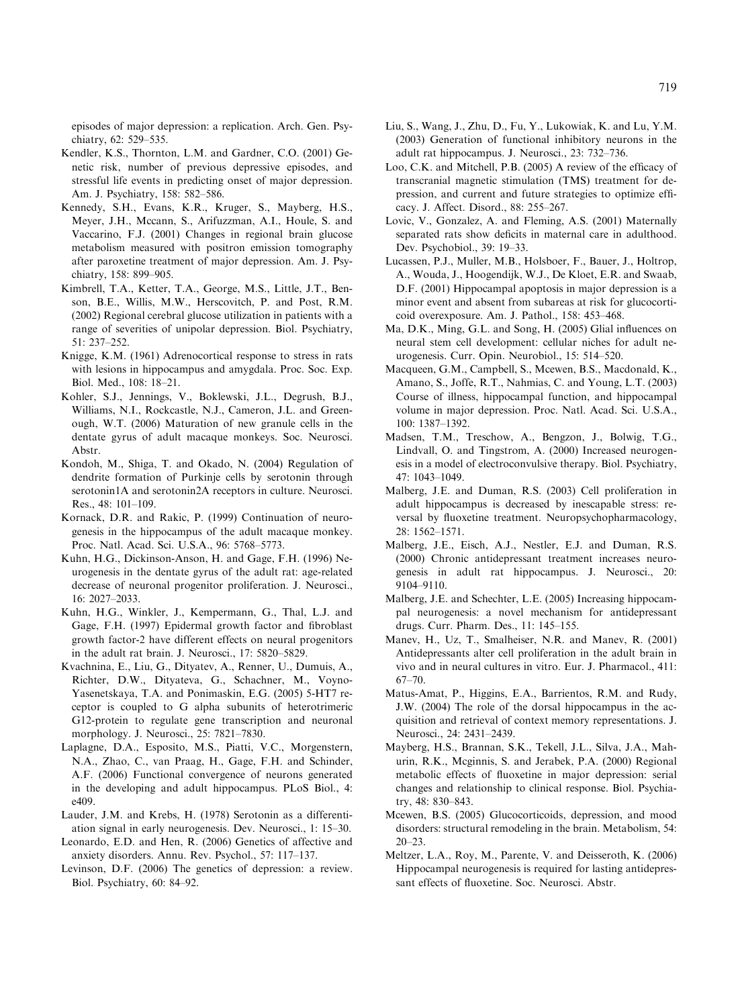<span id="page-22-0"></span>episodes of major depression: a replication. Arch. Gen. Psychiatry, 62: 529–535.

- Kendler, K.S., Thornton, L.M. and Gardner, C.O. (2001) Genetic risk, number of previous depressive episodes, and stressful life events in predicting onset of major depression. Am. J. Psychiatry, 158: 582–586.
- Kennedy, S.H., Evans, K.R., Kruger, S., Mayberg, H.S., Meyer, J.H., Mccann, S., Arifuzzman, A.I., Houle, S. and Vaccarino, F.J. (2001) Changes in regional brain glucose metabolism measured with positron emission tomography after paroxetine treatment of major depression. Am. J. Psychiatry, 158: 899–905.
- Kimbrell, T.A., Ketter, T.A., George, M.S., Little, J.T., Benson, B.E., Willis, M.W., Herscovitch, P. and Post, R.M. (2002) Regional cerebral glucose utilization in patients with a range of severities of unipolar depression. Biol. Psychiatry, 51: 237–252.
- Knigge, K.M. (1961) Adrenocortical response to stress in rats with lesions in hippocampus and amygdala. Proc. Soc. Exp. Biol. Med., 108: 18–21.
- Kohler, S.J., Jennings, V., Boklewski, J.L., Degrush, B.J., Williams, N.I., Rockcastle, N.J., Cameron, J.L. and Greenough, W.T. (2006) Maturation of new granule cells in the dentate gyrus of adult macaque monkeys. Soc. Neurosci. Abstr.
- Kondoh, M., Shiga, T. and Okado, N. (2004) Regulation of dendrite formation of Purkinje cells by serotonin through serotonin1A and serotonin2A receptors in culture. Neurosci. Res., 48: 101–109.
- Kornack, D.R. and Rakic, P. (1999) Continuation of neurogenesis in the hippocampus of the adult macaque monkey. Proc. Natl. Acad. Sci. U.S.A., 96: 5768–5773.
- Kuhn, H.G., Dickinson-Anson, H. and Gage, F.H. (1996) Neurogenesis in the dentate gyrus of the adult rat: age-related decrease of neuronal progenitor proliferation. J. Neurosci., 16: 2027–2033.
- Kuhn, H.G., Winkler, J., Kempermann, G., Thal, L.J. and Gage, F.H. (1997) Epidermal growth factor and fibroblast growth factor-2 have different effects on neural progenitors in the adult rat brain. J. Neurosci., 17: 5820–5829.
- Kvachnina, E., Liu, G., Dityatev, A., Renner, U., Dumuis, A., Richter, D.W., Dityateva, G., Schachner, M., Voyno-Yasenetskaya, T.A. and Ponimaskin, E.G. (2005) 5-HT7 receptor is coupled to G alpha subunits of heterotrimeric G12-protein to regulate gene transcription and neuronal morphology. J. Neurosci., 25: 7821–7830.
- Laplagne, D.A., Esposito, M.S., Piatti, V.C., Morgenstern, N.A., Zhao, C., van Praag, H., Gage, F.H. and Schinder, A.F. (2006) Functional convergence of neurons generated in the developing and adult hippocampus. PLoS Biol., 4: e409.
- Lauder, J.M. and Krebs, H. (1978) Serotonin as a differentiation signal in early neurogenesis. Dev. Neurosci., 1: 15–30.
- Leonardo, E.D. and Hen, R. (2006) Genetics of affective and anxiety disorders. Annu. Rev. Psychol., 57: 117–137.
- Levinson, D.F. (2006) The genetics of depression: a review. Biol. Psychiatry, 60: 84–92.
- Liu, S., Wang, J., Zhu, D., Fu, Y., Lukowiak, K. and Lu, Y.M. (2003) Generation of functional inhibitory neurons in the adult rat hippocampus. J. Neurosci., 23: 732–736.
- Loo, C.K. and Mitchell, P.B. (2005) A review of the efficacy of transcranial magnetic stimulation (TMS) treatment for depression, and current and future strategies to optimize efficacy. J. Affect. Disord., 88: 255–267.
- Lovic, V., Gonzalez, A. and Fleming, A.S. (2001) Maternally separated rats show deficits in maternal care in adulthood. Dev. Psychobiol., 39: 19–33.
- Lucassen, P.J., Muller, M.B., Holsboer, F., Bauer, J., Holtrop, A., Wouda, J., Hoogendijk, W.J., De Kloet, E.R. and Swaab, D.F. (2001) Hippocampal apoptosis in major depression is a minor event and absent from subareas at risk for glucocorticoid overexposure. Am. J. Pathol., 158: 453–468.
- Ma, D.K., Ming, G.L. and Song, H. (2005) Glial influences on neural stem cell development: cellular niches for adult neurogenesis. Curr. Opin. Neurobiol., 15: 514–520.
- Macqueen, G.M., Campbell, S., Mcewen, B.S., Macdonald, K., Amano, S., Joffe, R.T., Nahmias, C. and Young, L.T. (2003) Course of illness, hippocampal function, and hippocampal volume in major depression. Proc. Natl. Acad. Sci. U.S.A., 100: 1387–1392.
- Madsen, T.M., Treschow, A., Bengzon, J., Bolwig, T.G., Lindvall, O. and Tingstrom, A. (2000) Increased neurogenesis in a model of electroconvulsive therapy. Biol. Psychiatry, 47: 1043–1049.
- Malberg, J.E. and Duman, R.S. (2003) Cell proliferation in adult hippocampus is decreased by inescapable stress: reversal by fluoxetine treatment. Neuropsychopharmacology, 28: 1562–1571.
- Malberg, J.E., Eisch, A.J., Nestler, E.J. and Duman, R.S. (2000) Chronic antidepressant treatment increases neurogenesis in adult rat hippocampus. J. Neurosci., 20: 9104–9110.
- Malberg, J.E. and Schechter, L.E. (2005) Increasing hippocampal neurogenesis: a novel mechanism for antidepressant drugs. Curr. Pharm. Des., 11: 145–155.
- Manev, H., Uz, T., Smalheiser, N.R. and Manev, R. (2001) Antidepressants alter cell proliferation in the adult brain in vivo and in neural cultures in vitro. Eur. J. Pharmacol., 411: 67–70.
- Matus-Amat, P., Higgins, E.A., Barrientos, R.M. and Rudy, J.W. (2004) The role of the dorsal hippocampus in the acquisition and retrieval of context memory representations. J. Neurosci., 24: 2431–2439.
- Mayberg, H.S., Brannan, S.K., Tekell, J.L., Silva, J.A., Mahurin, R.K., Mcginnis, S. and Jerabek, P.A. (2000) Regional metabolic effects of fluoxetine in major depression: serial changes and relationship to clinical response. Biol. Psychiatry, 48: 830–843.
- Mcewen, B.S. (2005) Glucocorticoids, depression, and mood disorders: structural remodeling in the brain. Metabolism, 54: 20–23.
- Meltzer, L.A., Roy, M., Parente, V. and Deisseroth, K. (2006) Hippocampal neurogenesis is required for lasting antidepressant effects of fluoxetine. Soc. Neurosci. Abstr.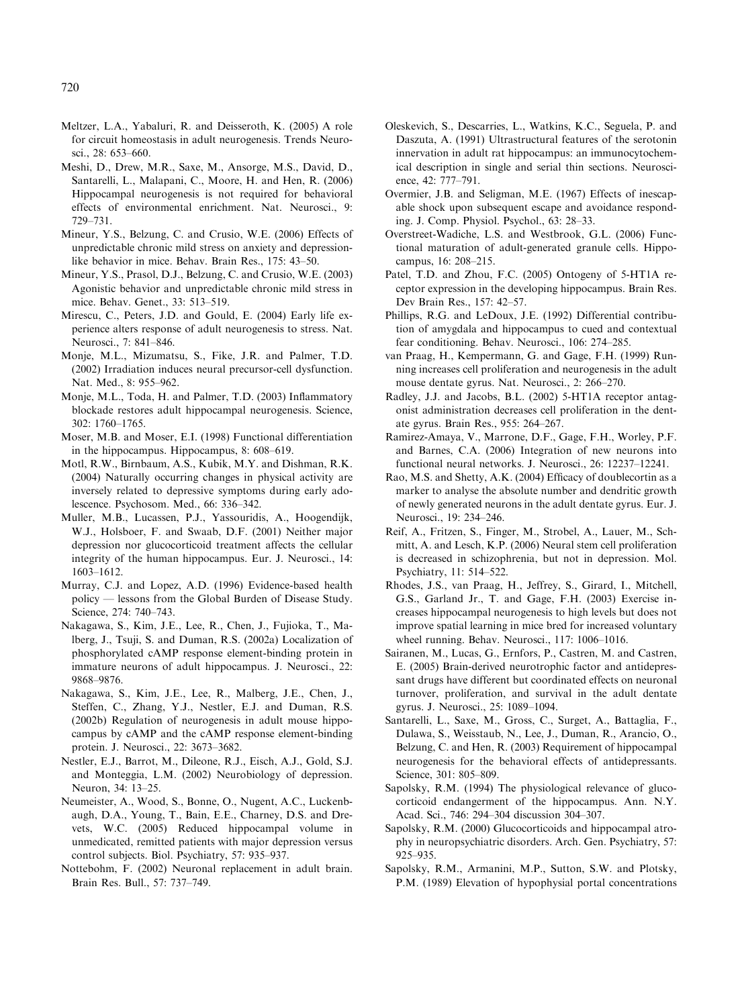- <span id="page-23-0"></span>Meltzer, L.A., Yabaluri, R. and Deisseroth, K. (2005) A role for circuit homeostasis in adult neurogenesis. Trends Neurosci., 28: 653–660.
- Meshi, D., Drew, M.R., Saxe, M., Ansorge, M.S., David, D., Santarelli, L., Malapani, C., Moore, H. and Hen, R. (2006) Hippocampal neurogenesis is not required for behavioral effects of environmental enrichment. Nat. Neurosci., 9: 729–731.
- Mineur, Y.S., Belzung, C. and Crusio, W.E. (2006) Effects of unpredictable chronic mild stress on anxiety and depressionlike behavior in mice. Behav. Brain Res., 175: 43–50.
- Mineur, Y.S., Prasol, D.J., Belzung, C. and Crusio, W.E. (2003) Agonistic behavior and unpredictable chronic mild stress in mice. Behav. Genet., 33: 513–519.
- Mirescu, C., Peters, J.D. and Gould, E. (2004) Early life experience alters response of adult neurogenesis to stress. Nat. Neurosci., 7: 841–846.
- Monje, M.L., Mizumatsu, S., Fike, J.R. and Palmer, T.D. (2002) Irradiation induces neural precursor-cell dysfunction. Nat. Med., 8: 955–962.
- Monje, M.L., Toda, H. and Palmer, T.D. (2003) Inflammatory blockade restores adult hippocampal neurogenesis. Science, 302: 1760–1765.
- Moser, M.B. and Moser, E.I. (1998) Functional differentiation in the hippocampus. Hippocampus, 8: 608–619.
- Motl, R.W., Birnbaum, A.S., Kubik, M.Y. and Dishman, R.K. (2004) Naturally occurring changes in physical activity are inversely related to depressive symptoms during early adolescence. Psychosom. Med., 66: 336–342.
- Muller, M.B., Lucassen, P.J., Yassouridis, A., Hoogendijk, W.J., Holsboer, F. and Swaab, D.F. (2001) Neither major depression nor glucocorticoid treatment affects the cellular integrity of the human hippocampus. Eur. J. Neurosci., 14: 1603–1612.
- Murray, C.J. and Lopez, A.D. (1996) Evidence-based health policy — lessons from the Global Burden of Disease Study. Science, 274: 740–743.
- Nakagawa, S., Kim, J.E., Lee, R., Chen, J., Fujioka, T., Malberg, J., Tsuji, S. and Duman, R.S. (2002a) Localization of phosphorylated cAMP response element-binding protein in immature neurons of adult hippocampus. J. Neurosci., 22: 9868–9876.
- Nakagawa, S., Kim, J.E., Lee, R., Malberg, J.E., Chen, J., Steffen, C., Zhang, Y.J., Nestler, E.J. and Duman, R.S. (2002b) Regulation of neurogenesis in adult mouse hippocampus by cAMP and the cAMP response element-binding protein. J. Neurosci., 22: 3673–3682.
- Nestler, E.J., Barrot, M., Dileone, R.J., Eisch, A.J., Gold, S.J. and Monteggia, L.M. (2002) Neurobiology of depression. Neuron, 34: 13–25.
- Neumeister, A., Wood, S., Bonne, O., Nugent, A.C., Luckenbaugh, D.A., Young, T., Bain, E.E., Charney, D.S. and Drevets, W.C. (2005) Reduced hippocampal volume in unmedicated, remitted patients with major depression versus control subjects. Biol. Psychiatry, 57: 935–937.
- Nottebohm, F. (2002) Neuronal replacement in adult brain. Brain Res. Bull., 57: 737–749.
- Oleskevich, S., Descarries, L., Watkins, K.C., Seguela, P. and Daszuta, A. (1991) Ultrastructural features of the serotonin innervation in adult rat hippocampus: an immunocytochemical description in single and serial thin sections. Neuroscience, 42: 777–791.
- Overmier, J.B. and Seligman, M.E. (1967) Effects of inescapable shock upon subsequent escape and avoidance responding. J. Comp. Physiol. Psychol., 63: 28–33.
- Overstreet-Wadiche, L.S. and Westbrook, G.L. (2006) Functional maturation of adult-generated granule cells. Hippocampus, 16: 208–215.
- Patel, T.D. and Zhou, F.C. (2005) Ontogeny of 5-HT1A receptor expression in the developing hippocampus. Brain Res. Dev Brain Res., 157: 42–57.
- Phillips, R.G. and LeDoux, J.E. (1992) Differential contribution of amygdala and hippocampus to cued and contextual fear conditioning. Behav. Neurosci., 106: 274–285.
- van Praag, H., Kempermann, G. and Gage, F.H. (1999) Running increases cell proliferation and neurogenesis in the adult mouse dentate gyrus. Nat. Neurosci., 2: 266–270.
- Radley, J.J. and Jacobs, B.L. (2002) 5-HT1A receptor antagonist administration decreases cell proliferation in the dentate gyrus. Brain Res., 955: 264–267.
- Ramirez-Amaya, V., Marrone, D.F., Gage, F.H., Worley, P.F. and Barnes, C.A. (2006) Integration of new neurons into functional neural networks. J. Neurosci., 26: 12237–12241.
- Rao, M.S. and Shetty, A.K. (2004) Efficacy of doublecortin as a marker to analyse the absolute number and dendritic growth of newly generated neurons in the adult dentate gyrus. Eur. J. Neurosci., 19: 234–246.
- Reif, A., Fritzen, S., Finger, M., Strobel, A., Lauer, M., Schmitt, A. and Lesch, K.P. (2006) Neural stem cell proliferation is decreased in schizophrenia, but not in depression. Mol. Psychiatry, 11: 514–522.
- Rhodes, J.S., van Praag, H., Jeffrey, S., Girard, I., Mitchell, G.S., Garland Jr., T. and Gage, F.H. (2003) Exercise increases hippocampal neurogenesis to high levels but does not improve spatial learning in mice bred for increased voluntary wheel running. Behav. Neurosci., 117: 1006–1016.
- Sairanen, M., Lucas, G., Ernfors, P., Castren, M. and Castren, E. (2005) Brain-derived neurotrophic factor and antidepressant drugs have different but coordinated effects on neuronal turnover, proliferation, and survival in the adult dentate gyrus. J. Neurosci., 25: 1089–1094.
- Santarelli, L., Saxe, M., Gross, C., Surget, A., Battaglia, F., Dulawa, S., Weisstaub, N., Lee, J., Duman, R., Arancio, O., Belzung, C. and Hen, R. (2003) Requirement of hippocampal neurogenesis for the behavioral effects of antidepressants. Science, 301: 805–809.
- Sapolsky, R.M. (1994) The physiological relevance of glucocorticoid endangerment of the hippocampus. Ann. N.Y. Acad. Sci., 746: 294–304 discussion 304–307.
- Sapolsky, R.M. (2000) Glucocorticoids and hippocampal atrophy in neuropsychiatric disorders. Arch. Gen. Psychiatry, 57: 925–935.
- Sapolsky, R.M., Armanini, M.P., Sutton, S.W. and Plotsky, P.M. (1989) Elevation of hypophysial portal concentrations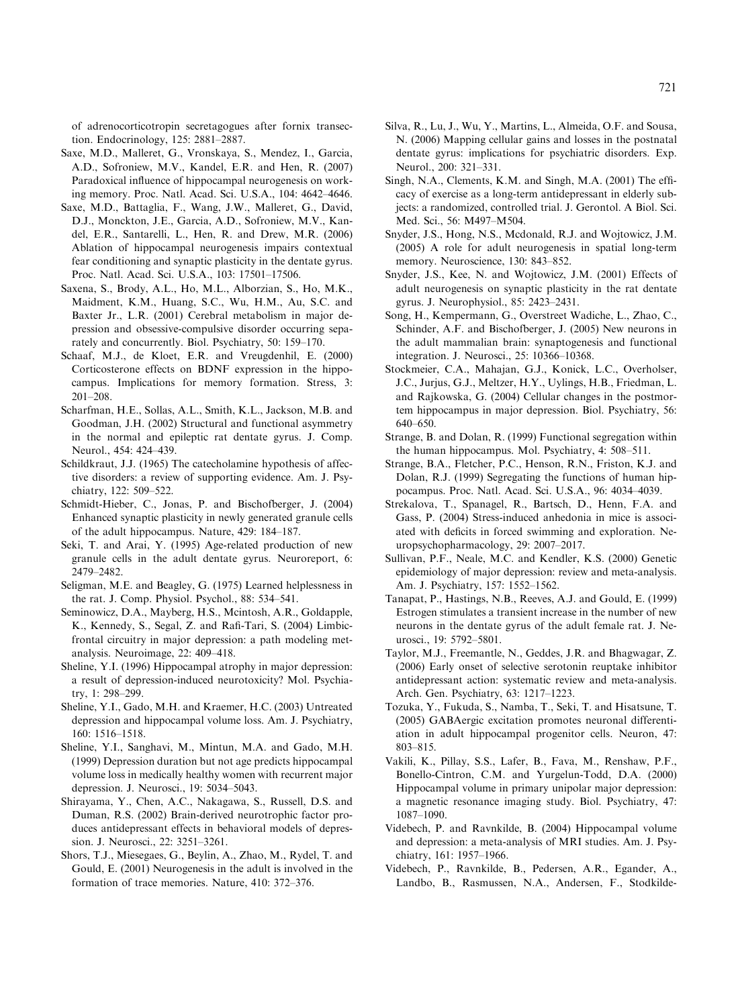<span id="page-24-0"></span>of adrenocorticotropin secretagogues after fornix transection. Endocrinology, 125: 2881–2887.

- Saxe, M.D., Malleret, G., Vronskaya, S., Mendez, I., Garcia, A.D., Sofroniew, M.V., Kandel, E.R. and Hen, R. (2007) Paradoxical influence of hippocampal neurogenesis on working memory. Proc. Natl. Acad. Sci. U.S.A., 104: 4642–4646.
- Saxe, M.D., Battaglia, F., Wang, J.W., Malleret, G., David, D.J., Monckton, J.E., Garcia, A.D., Sofroniew, M.V., Kandel, E.R., Santarelli, L., Hen, R. and Drew, M.R. (2006) Ablation of hippocampal neurogenesis impairs contextual fear conditioning and synaptic plasticity in the dentate gyrus. Proc. Natl. Acad. Sci. U.S.A., 103: 17501–17506.
- Saxena, S., Brody, A.L., Ho, M.L., Alborzian, S., Ho, M.K., Maidment, K.M., Huang, S.C., Wu, H.M., Au, S.C. and Baxter Jr., L.R. (2001) Cerebral metabolism in major depression and obsessive-compulsive disorder occurring separately and concurrently. Biol. Psychiatry, 50: 159–170.
- Schaaf, M.J., de Kloet, E.R. and Vreugdenhil, E. (2000) Corticosterone effects on BDNF expression in the hippocampus. Implications for memory formation. Stress, 3: 201–208.
- Scharfman, H.E., Sollas, A.L., Smith, K.L., Jackson, M.B. and Goodman, J.H. (2002) Structural and functional asymmetry in the normal and epileptic rat dentate gyrus. J. Comp. Neurol., 454: 424–439.
- Schildkraut, J.J. (1965) The catecholamine hypothesis of affective disorders: a review of supporting evidence. Am. J. Psychiatry, 122: 509–522.
- Schmidt-Hieber, C., Jonas, P. and Bischofberger, J. (2004) Enhanced synaptic plasticity in newly generated granule cells of the adult hippocampus. Nature, 429: 184–187.
- Seki, T. and Arai, Y. (1995) Age-related production of new granule cells in the adult dentate gyrus. Neuroreport, 6: 2479–2482.
- Seligman, M.E. and Beagley, G. (1975) Learned helplessness in the rat. J. Comp. Physiol. Psychol., 88: 534–541.
- Seminowicz, D.A., Mayberg, H.S., Mcintosh, A.R., Goldapple, K., Kennedy, S., Segal, Z. and Rafi-Tari, S. (2004) Limbicfrontal circuitry in major depression: a path modeling metanalysis. Neuroimage, 22: 409–418.
- Sheline, Y.I. (1996) Hippocampal atrophy in major depression: a result of depression-induced neurotoxicity? Mol. Psychiatry, 1: 298–299.
- Sheline, Y.I., Gado, M.H. and Kraemer, H.C. (2003) Untreated depression and hippocampal volume loss. Am. J. Psychiatry, 160: 1516–1518.
- Sheline, Y.I., Sanghavi, M., Mintun, M.A. and Gado, M.H. (1999) Depression duration but not age predicts hippocampal volume loss in medically healthy women with recurrent major depression. J. Neurosci., 19: 5034–5043.
- Shirayama, Y., Chen, A.C., Nakagawa, S., Russell, D.S. and Duman, R.S. (2002) Brain-derived neurotrophic factor produces antidepressant effects in behavioral models of depression. J. Neurosci., 22: 3251–3261.
- Shors, T.J., Miesegaes, G., Beylin, A., Zhao, M., Rydel, T. and Gould, E. (2001) Neurogenesis in the adult is involved in the formation of trace memories. Nature, 410: 372–376.
- Silva, R., Lu, J., Wu, Y., Martins, L., Almeida, O.F. and Sousa, N. (2006) Mapping cellular gains and losses in the postnatal dentate gyrus: implications for psychiatric disorders. Exp. Neurol., 200: 321–331.
- Singh, N.A., Clements, K.M. and Singh, M.A. (2001) The efficacy of exercise as a long-term antidepressant in elderly subjects: a randomized, controlled trial. J. Gerontol. A Biol. Sci. Med. Sci., 56: M497–M504.
- Snyder, J.S., Hong, N.S., Mcdonald, R.J. and Wojtowicz, J.M. (2005) A role for adult neurogenesis in spatial long-term memory. Neuroscience, 130: 843–852.
- Snyder, J.S., Kee, N. and Wojtowicz, J.M. (2001) Effects of adult neurogenesis on synaptic plasticity in the rat dentate gyrus. J. Neurophysiol., 85: 2423–2431.
- Song, H., Kempermann, G., Overstreet Wadiche, L., Zhao, C., Schinder, A.F. and Bischofberger, J. (2005) New neurons in the adult mammalian brain: synaptogenesis and functional integration. J. Neurosci., 25: 10366–10368.
- Stockmeier, C.A., Mahajan, G.J., Konick, L.C., Overholser, J.C., Jurjus, G.J., Meltzer, H.Y., Uylings, H.B., Friedman, L. and Rajkowska, G. (2004) Cellular changes in the postmortem hippocampus in major depression. Biol. Psychiatry, 56: 640–650.
- Strange, B. and Dolan, R. (1999) Functional segregation within the human hippocampus. Mol. Psychiatry, 4: 508–511.
- Strange, B.A., Fletcher, P.C., Henson, R.N., Friston, K.J. and Dolan, R.J. (1999) Segregating the functions of human hippocampus. Proc. Natl. Acad. Sci. U.S.A., 96: 4034–4039.
- Strekalova, T., Spanagel, R., Bartsch, D., Henn, F.A. and Gass, P. (2004) Stress-induced anhedonia in mice is associated with deficits in forced swimming and exploration. Neuropsychopharmacology, 29: 2007–2017.
- Sullivan, P.F., Neale, M.C. and Kendler, K.S. (2000) Genetic epidemiology of major depression: review and meta-analysis. Am. J. Psychiatry, 157: 1552–1562.
- Tanapat, P., Hastings, N.B., Reeves, A.J. and Gould, E. (1999) Estrogen stimulates a transient increase in the number of new neurons in the dentate gyrus of the adult female rat. J. Neurosci., 19: 5792–5801.
- Taylor, M.J., Freemantle, N., Geddes, J.R. and Bhagwagar, Z. (2006) Early onset of selective serotonin reuptake inhibitor antidepressant action: systematic review and meta-analysis. Arch. Gen. Psychiatry, 63: 1217–1223.
- Tozuka, Y., Fukuda, S., Namba, T., Seki, T. and Hisatsune, T. (2005) GABAergic excitation promotes neuronal differentiation in adult hippocampal progenitor cells. Neuron, 47: 803–815.
- Vakili, K., Pillay, S.S., Lafer, B., Fava, M., Renshaw, P.F., Bonello-Cintron, C.M. and Yurgelun-Todd, D.A. (2000) Hippocampal volume in primary unipolar major depression: a magnetic resonance imaging study. Biol. Psychiatry, 47: 1087–1090.
- Videbech, P. and Ravnkilde, B. (2004) Hippocampal volume and depression: a meta-analysis of MRI studies. Am. J. Psychiatry, 161: 1957–1966.
- Videbech, P., Ravnkilde, B., Pedersen, A.R., Egander, A., Landbo, B., Rasmussen, N.A., Andersen, F., Stodkilde-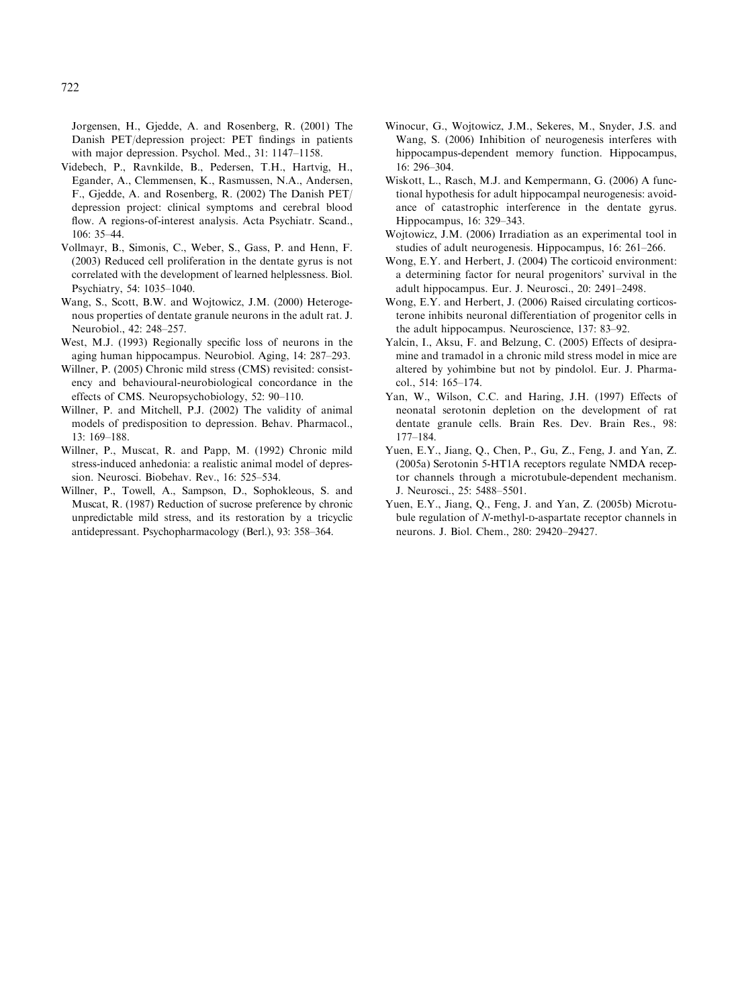<span id="page-25-0"></span>Jorgensen, H., Gjedde, A. and Rosenberg, R. (2001) The Danish PET/depression project: PET findings in patients with major depression. Psychol. Med., 31: 1147–1158.

- Videbech, P., Ravnkilde, B., Pedersen, T.H., Hartvig, H., Egander, A., Clemmensen, K., Rasmussen, N.A., Andersen, F., Gjedde, A. and Rosenberg, R. (2002) The Danish PET/ depression project: clinical symptoms and cerebral blood flow. A regions-of-interest analysis. Acta Psychiatr. Scand., 106: 35–44.
- Vollmayr, B., Simonis, C., Weber, S., Gass, P. and Henn, F. (2003) Reduced cell proliferation in the dentate gyrus is not correlated with the development of learned helplessness. Biol. Psychiatry, 54: 1035–1040.
- Wang, S., Scott, B.W. and Wojtowicz, J.M. (2000) Heterogenous properties of dentate granule neurons in the adult rat. J. Neurobiol., 42: 248–257.
- West, M.J. (1993) Regionally specific loss of neurons in the aging human hippocampus. Neurobiol. Aging, 14: 287–293.
- Willner, P. (2005) Chronic mild stress (CMS) revisited: consistency and behavioural-neurobiological concordance in the effects of CMS. Neuropsychobiology, 52: 90–110.
- Willner, P. and Mitchell, P.J. (2002) The validity of animal models of predisposition to depression. Behav. Pharmacol., 13: 169–188.
- Willner, P., Muscat, R. and Papp, M. (1992) Chronic mild stress-induced anhedonia: a realistic animal model of depression. Neurosci. Biobehav. Rev., 16: 525–534.
- Willner, P., Towell, A., Sampson, D., Sophokleous, S. and Muscat, R. (1987) Reduction of sucrose preference by chronic unpredictable mild stress, and its restoration by a tricyclic antidepressant. Psychopharmacology (Berl.), 93: 358–364.
- Winocur, G., Wojtowicz, J.M., Sekeres, M., Snyder, J.S. and Wang, S. (2006) Inhibition of neurogenesis interferes with hippocampus-dependent memory function. Hippocampus, 16: 296–304.
- Wiskott, L., Rasch, M.J. and Kempermann, G. (2006) A functional hypothesis for adult hippocampal neurogenesis: avoidance of catastrophic interference in the dentate gyrus. Hippocampus, 16: 329–343.
- Wojtowicz, J.M. (2006) Irradiation as an experimental tool in studies of adult neurogenesis. Hippocampus, 16: 261–266.
- Wong, E.Y. and Herbert, J. (2004) The corticoid environment: a determining factor for neural progenitors' survival in the adult hippocampus. Eur. J. Neurosci., 20: 2491–2498.
- Wong, E.Y. and Herbert, J. (2006) Raised circulating corticosterone inhibits neuronal differentiation of progenitor cells in the adult hippocampus. Neuroscience, 137: 83–92.
- Yalcin, I., Aksu, F. and Belzung, C. (2005) Effects of desipramine and tramadol in a chronic mild stress model in mice are altered by yohimbine but not by pindolol. Eur. J. Pharmacol., 514: 165–174.
- Yan, W., Wilson, C.C. and Haring, J.H. (1997) Effects of neonatal serotonin depletion on the development of rat dentate granule cells. Brain Res. Dev. Brain Res., 98: 177–184.
- Yuen, E.Y., Jiang, Q., Chen, P., Gu, Z., Feng, J. and Yan, Z. (2005a) Serotonin 5-HT1A receptors regulate NMDA receptor channels through a microtubule-dependent mechanism. J. Neurosci., 25: 5488–5501.
- Yuen, E.Y., Jiang, Q., Feng, J. and Yan, Z. (2005b) Microtubule regulation of N-methyl-D-aspartate receptor channels in neurons. J. Biol. Chem., 280: 29420–29427.